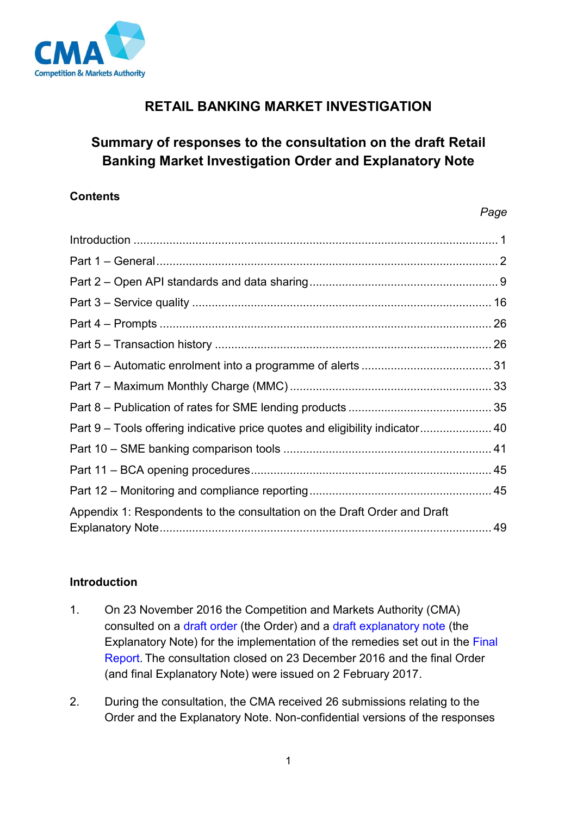

# **RETAIL BANKING MARKET INVESTIGATION**

# **Summary of responses to the consultation on the draft Retail Banking Market Investigation Order and Explanatory Note**

### **Contents**

#### *Page*

| Part 9 – Tools offering indicative price quotes and eligibility indicator 40 |  |
|------------------------------------------------------------------------------|--|
|                                                                              |  |
|                                                                              |  |
|                                                                              |  |
| Appendix 1: Respondents to the consultation on the Draft Order and Draft     |  |

## <span id="page-0-0"></span>**Introduction**

- 1. On 23 November 2016 the Competition and Markets Authority (CMA) consulted on a [draft order](https://www.gov.uk/cma-cases/review-of-banking-for-small-and-medium-sized-businesses-smes-in-the-uk#formal-consultation-on-draft-retail-banking-order) (the Order) and a [draft explanatory note](https://www.gov.uk/cma-cases/review-of-banking-for-small-and-medium-sized-businesses-smes-in-the-uk#formal-consultation-on-draft-retail-banking-order) (the Explanatory Note) for the implementation of the remedies set out in the [Final](https://www.gov.uk/cma-cases/review-of-banking-for-small-and-medium-sized-businesses-smes-in-the-uk#final-report)  [Report.](https://www.gov.uk/cma-cases/review-of-banking-for-small-and-medium-sized-businesses-smes-in-the-uk#final-report) The consultation closed on 23 December 2016 and the final Order (and final Explanatory Note) were issued on 2 February 2017.
- 2. During the consultation, the CMA received 26 submissions relating to the Order and the Explanatory Note. Non-confidential versions of the responses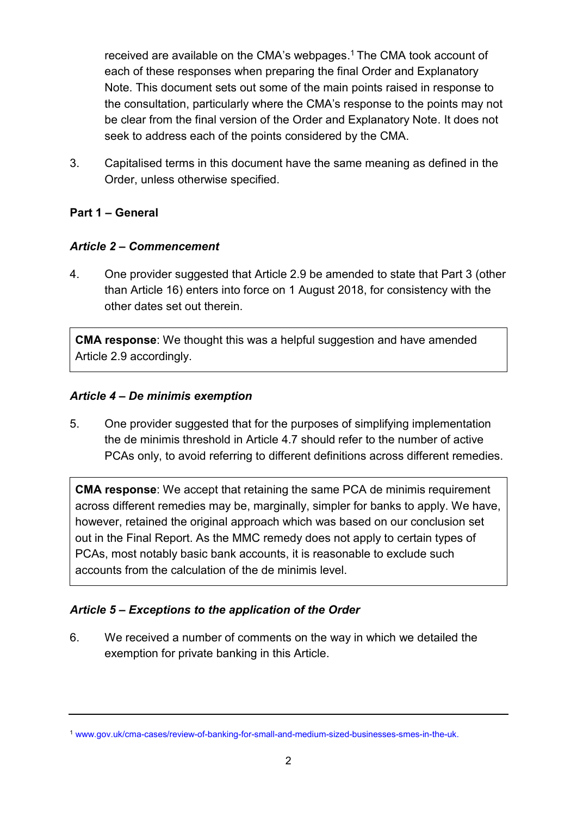received are available on the CMA's webpages.<sup>1</sup> The CMA took account of each of these responses when preparing the final Order and Explanatory Note. This document sets out some of the main points raised in response to the consultation, particularly where the CMA's response to the points may not be clear from the final version of the Order and Explanatory Note. It does not seek to address each of the points considered by the CMA.

3. Capitalised terms in this document have the same meaning as defined in the Order, unless otherwise specified.

## <span id="page-1-0"></span>**Part 1 – General**

### *Article 2 – Commencement*

4. One provider suggested that Article 2.9 be amended to state that Part 3 (other than Article 16) enters into force on 1 August 2018, for consistency with the other dates set out therein.

**CMA response**: We thought this was a helpful suggestion and have amended Article 2.9 accordingly.

### *Article 4 – De minimis exemption*

5. One provider suggested that for the purposes of simplifying implementation the de minimis threshold in Article 4.7 should refer to the number of active PCAs only, to avoid referring to different definitions across different remedies.

**CMA response**: We accept that retaining the same PCA de minimis requirement across different remedies may be, marginally, simpler for banks to apply. We have, however, retained the original approach which was based on our conclusion set out in the Final Report. As the MMC remedy does not apply to certain types of PCAs, most notably basic bank accounts, it is reasonable to exclude such accounts from the calculation of the de minimis level.

## *Article 5 – Exceptions to the application of the Order*

6. We received a number of comments on the way in which we detailed the exemption for private banking in this Article.

<sup>1</sup> [www.gov.uk/cma-cases/review-of-banking-for-small-and-medium-sized-businesses-smes-in-the-uk.](https://www.gov.uk/cma-cases/review-of-banking-for-small-and-medium-sized-businesses-smes-in-the-uk)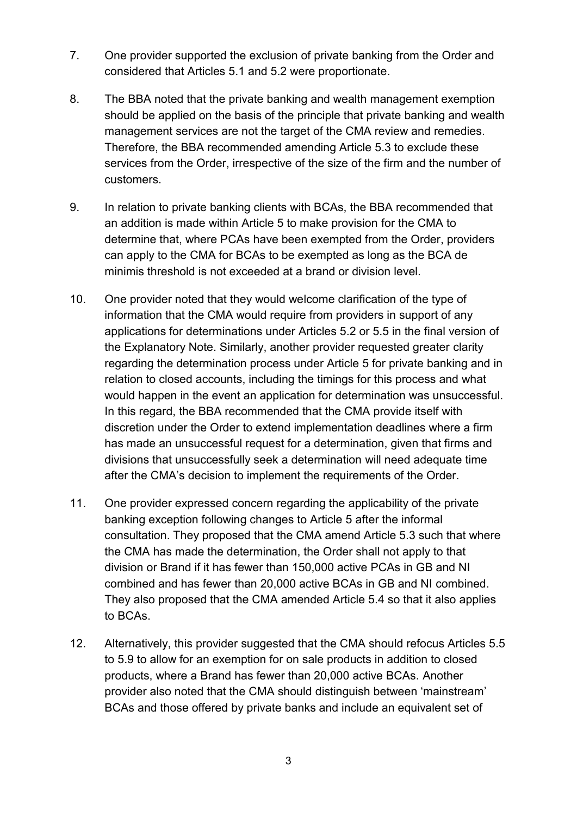- 7. One provider supported the exclusion of private banking from the Order and considered that Articles 5.1 and 5.2 were proportionate.
- 8. The BBA noted that the private banking and wealth management exemption should be applied on the basis of the principle that private banking and wealth management services are not the target of the CMA review and remedies. Therefore, the BBA recommended amending Article 5.3 to exclude these services from the Order, irrespective of the size of the firm and the number of customers.
- 9. In relation to private banking clients with BCAs, the BBA recommended that an addition is made within Article 5 to make provision for the CMA to determine that, where PCAs have been exempted from the Order, providers can apply to the CMA for BCAs to be exempted as long as the BCA de minimis threshold is not exceeded at a brand or division level.
- 10. One provider noted that they would welcome clarification of the type of information that the CMA would require from providers in support of any applications for determinations under Articles 5.2 or 5.5 in the final version of the Explanatory Note. Similarly, another provider requested greater clarity regarding the determination process under Article 5 for private banking and in relation to closed accounts, including the timings for this process and what would happen in the event an application for determination was unsuccessful. In this regard, the BBA recommended that the CMA provide itself with discretion under the Order to extend implementation deadlines where a firm has made an unsuccessful request for a determination, given that firms and divisions that unsuccessfully seek a determination will need adequate time after the CMA's decision to implement the requirements of the Order.
- 11. One provider expressed concern regarding the applicability of the private banking exception following changes to Article 5 after the informal consultation. They proposed that the CMA amend Article 5.3 such that where the CMA has made the determination, the Order shall not apply to that division or Brand if it has fewer than 150,000 active PCAs in GB and NI combined and has fewer than 20,000 active BCAs in GB and NI combined. They also proposed that the CMA amended Article 5.4 so that it also applies to BCAs.
- 12. Alternatively, this provider suggested that the CMA should refocus Articles 5.5 to 5.9 to allow for an exemption for on sale products in addition to closed products, where a Brand has fewer than 20,000 active BCAs. Another provider also noted that the CMA should distinguish between 'mainstream' BCAs and those offered by private banks and include an equivalent set of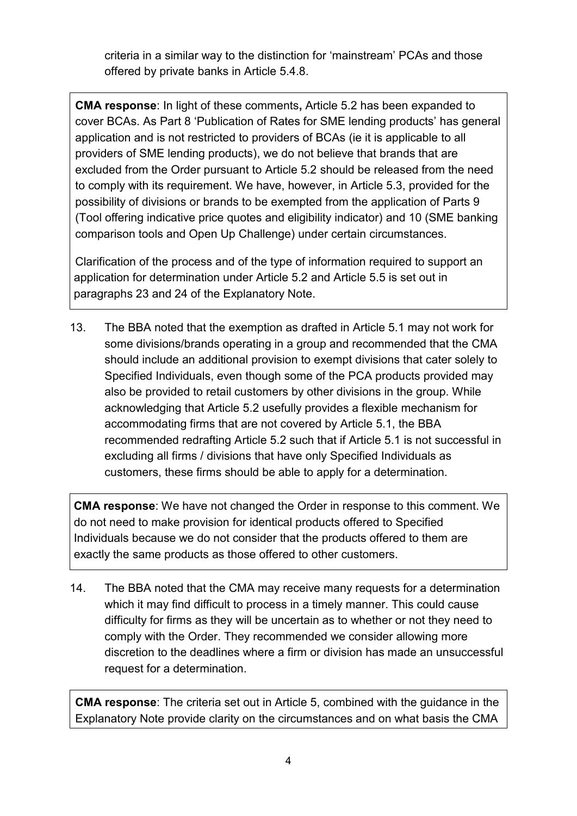criteria in a similar way to the distinction for 'mainstream' PCAs and those offered by private banks in Article 5.4.8.

**CMA response**: In light of these comments**,** Article 5.2 has been expanded to cover BCAs. As Part 8 'Publication of Rates for SME lending products' has general application and is not restricted to providers of BCAs (ie it is applicable to all providers of SME lending products), we do not believe that brands that are excluded from the Order pursuant to Article 5.2 should be released from the need to comply with its requirement. We have, however, in Article 5.3, provided for the possibility of divisions or brands to be exempted from the application of Parts 9 (Tool offering indicative price quotes and eligibility indicator) and 10 (SME banking comparison tools and Open Up Challenge) under certain circumstances.

Clarification of the process and of the type of information required to support an application for determination under Article 5.2 and Article 5.5 is set out in paragraphs 23 and 24 of the Explanatory Note.

13. The BBA noted that the exemption as drafted in Article 5.1 may not work for some divisions/brands operating in a group and recommended that the CMA should include an additional provision to exempt divisions that cater solely to Specified Individuals, even though some of the PCA products provided may also be provided to retail customers by other divisions in the group. While acknowledging that Article 5.2 usefully provides a flexible mechanism for accommodating firms that are not covered by Article 5.1, the BBA recommended redrafting Article 5.2 such that if Article 5.1 is not successful in excluding all firms / divisions that have only Specified Individuals as customers, these firms should be able to apply for a determination.

**CMA response**: We have not changed the Order in response to this comment. We do not need to make provision for identical products offered to Specified Individuals because we do not consider that the products offered to them are exactly the same products as those offered to other customers.

14. The BBA noted that the CMA may receive many requests for a determination which it may find difficult to process in a timely manner. This could cause difficulty for firms as they will be uncertain as to whether or not they need to comply with the Order. They recommended we consider allowing more discretion to the deadlines where a firm or division has made an unsuccessful request for a determination.

**CMA response**: The criteria set out in Article 5, combined with the guidance in the Explanatory Note provide clarity on the circumstances and on what basis the CMA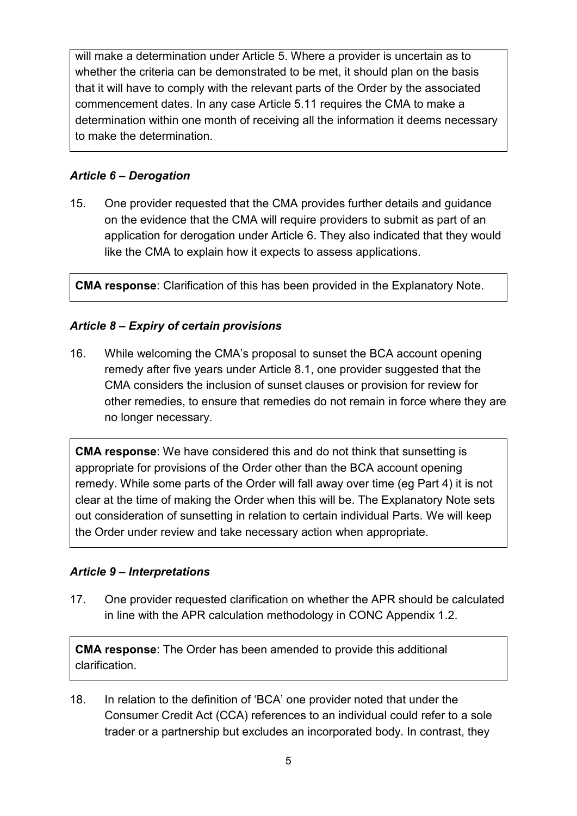will make a determination under Article 5. Where a provider is uncertain as to whether the criteria can be demonstrated to be met, it should plan on the basis that it will have to comply with the relevant parts of the Order by the associated commencement dates. In any case Article 5.11 requires the CMA to make a determination within one month of receiving all the information it deems necessary to make the determination.

## *Article 6 – Derogation*

15. One provider requested that the CMA provides further details and guidance on the evidence that the CMA will require providers to submit as part of an application for derogation under Article 6. They also indicated that they would like the CMA to explain how it expects to assess applications.

**CMA response**: Clarification of this has been provided in the Explanatory Note.

## *Article 8 – Expiry of certain provisions*

16. While welcoming the CMA's proposal to sunset the BCA account opening remedy after five years under Article 8.1, one provider suggested that the CMA considers the inclusion of sunset clauses or provision for review for other remedies, to ensure that remedies do not remain in force where they are no longer necessary.

**CMA response**: We have considered this and do not think that sunsetting is appropriate for provisions of the Order other than the BCA account opening remedy. While some parts of the Order will fall away over time (eg Part 4) it is not clear at the time of making the Order when this will be. The Explanatory Note sets out consideration of sunsetting in relation to certain individual Parts. We will keep the Order under review and take necessary action when appropriate.

#### *Article 9 – Interpretations*

17. One provider requested clarification on whether the APR should be calculated in line with the APR calculation methodology in CONC Appendix 1.2.

**CMA response**: The Order has been amended to provide this additional clarification.

18. In relation to the definition of 'BCA' one provider noted that under the Consumer Credit Act (CCA) references to an individual could refer to a sole trader or a partnership but excludes an incorporated body. In contrast, they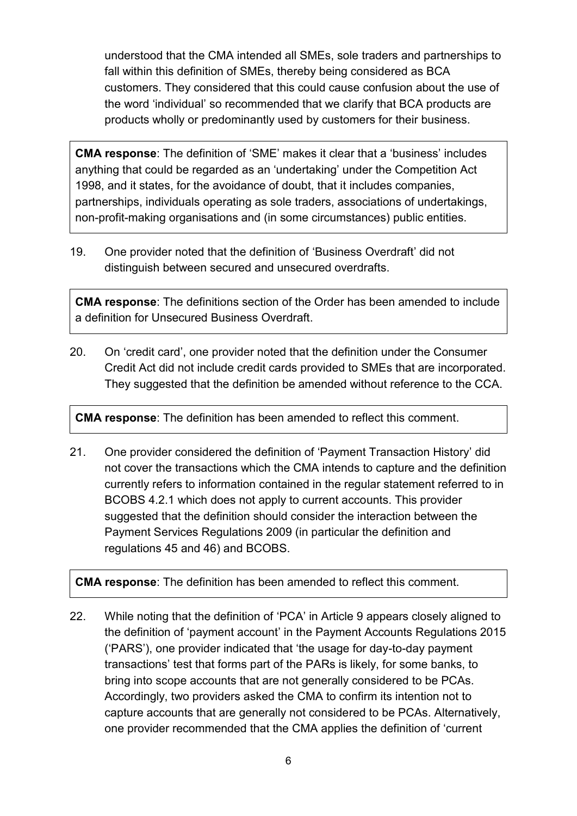understood that the CMA intended all SMEs, sole traders and partnerships to fall within this definition of SMEs, thereby being considered as BCA customers. They considered that this could cause confusion about the use of the word 'individual' so recommended that we clarify that BCA products are products wholly or predominantly used by customers for their business.

**CMA response**: The definition of 'SME' makes it clear that a 'business' includes anything that could be regarded as an 'undertaking' under the Competition Act 1998, and it states, for the avoidance of doubt, that it includes companies, partnerships, individuals operating as sole traders, associations of undertakings, non-profit-making organisations and (in some circumstances) public entities.

19. One provider noted that the definition of 'Business Overdraft' did not distinguish between secured and unsecured overdrafts.

**CMA response**: The definitions section of the Order has been amended to include a definition for Unsecured Business Overdraft.

20. On 'credit card', one provider noted that the definition under the Consumer Credit Act did not include credit cards provided to SMEs that are incorporated. They suggested that the definition be amended without reference to the CCA.

**CMA response**: The definition has been amended to reflect this comment.

21. One provider considered the definition of 'Payment Transaction History' did not cover the transactions which the CMA intends to capture and the definition currently refers to information contained in the regular statement referred to in BCOBS 4.2.1 which does not apply to current accounts. This provider suggested that the definition should consider the interaction between the Payment Services Regulations 2009 (in particular the definition and regulations 45 and 46) and BCOBS.

**CMA response**: The definition has been amended to reflect this comment.

22. While noting that the definition of 'PCA' in Article 9 appears closely aligned to the definition of 'payment account' in the Payment Accounts Regulations 2015 ('PARS'), one provider indicated that 'the usage for day-to-day payment transactions' test that forms part of the PARs is likely, for some banks, to bring into scope accounts that are not generally considered to be PCAs. Accordingly, two providers asked the CMA to confirm its intention not to capture accounts that are generally not considered to be PCAs. Alternatively, one provider recommended that the CMA applies the definition of 'current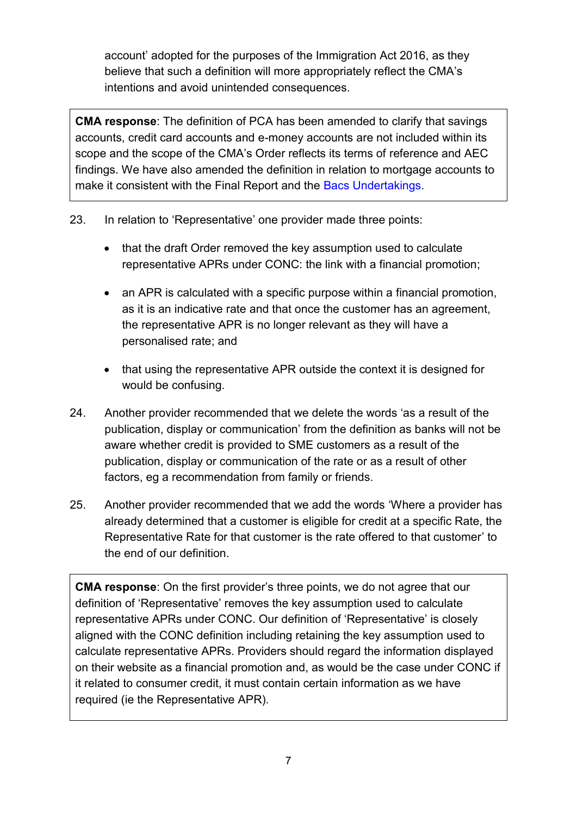account' adopted for the purposes of the Immigration Act 2016, as they believe that such a definition will more appropriately reflect the CMA's intentions and avoid unintended consequences.

**CMA response**: The definition of PCA has been amended to clarify that savings accounts, credit card accounts and e-money accounts are not included within its scope and the scope of the CMA's Order reflects its terms of reference and AEC findings. We have also amended the definition in relation to mortgage accounts to make it consistent with the Final Report and the [Bacs Undertakings.](https://www.gov.uk/cma-cases/review-of-banking-for-small-and-medium-sized-businesses-smes-in-the-uk#final-undertakings)

- 23. In relation to 'Representative' one provider made three points:
	- that the draft Order removed the key assumption used to calculate representative APRs under CONC: the link with a financial promotion;
	- an APR is calculated with a specific purpose within a financial promotion, as it is an indicative rate and that once the customer has an agreement, the representative APR is no longer relevant as they will have a personalised rate; and
	- that using the representative APR outside the context it is designed for would be confusing.
- 24. Another provider recommended that we delete the words 'as a result of the publication, display or communication' from the definition as banks will not be aware whether credit is provided to SME customers as a result of the publication, display or communication of the rate or as a result of other factors, eg a recommendation from family or friends.
- 25. Another provider recommended that we add the words 'Where a provider has already determined that a customer is eligible for credit at a specific Rate, the Representative Rate for that customer is the rate offered to that customer' to the end of our definition.

**CMA response**: On the first provider's three points, we do not agree that our definition of 'Representative' removes the key assumption used to calculate representative APRs under CONC. Our definition of 'Representative' is closely aligned with the CONC definition including retaining the key assumption used to calculate representative APRs. Providers should regard the information displayed on their website as a financial promotion and, as would be the case under CONC if it related to consumer credit, it must contain certain information as we have required (ie the Representative APR).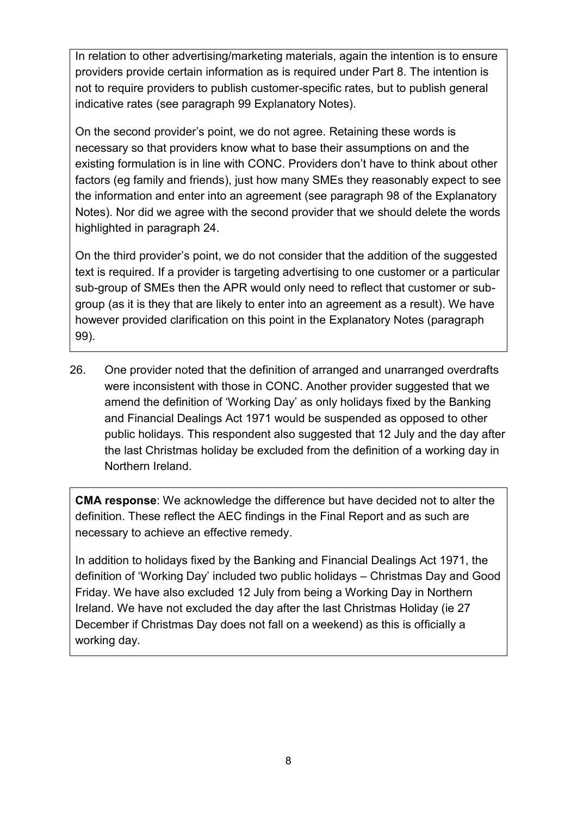In relation to other advertising/marketing materials, again the intention is to ensure providers provide certain information as is required under Part 8. The intention is not to require providers to publish customer-specific rates, but to publish general indicative rates (see paragraph 99 Explanatory Notes).

On the second provider's point, we do not agree. Retaining these words is necessary so that providers know what to base their assumptions on and the existing formulation is in line with CONC. Providers don't have to think about other factors (eg family and friends), just how many SMEs they reasonably expect to see the information and enter into an agreement (see paragraph 98 of the Explanatory Notes). Nor did we agree with the second provider that we should delete the words highlighted in paragraph 24.

On the third provider's point, we do not consider that the addition of the suggested text is required. If a provider is targeting advertising to one customer or a particular sub-group of SMEs then the APR would only need to reflect that customer or subgroup (as it is they that are likely to enter into an agreement as a result). We have however provided clarification on this point in the Explanatory Notes (paragraph 99).

26. One provider noted that the definition of arranged and unarranged overdrafts were inconsistent with those in CONC. Another provider suggested that we amend the definition of 'Working Day' as only holidays fixed by the Banking and Financial Dealings Act 1971 would be suspended as opposed to other public holidays. This respondent also suggested that 12 July and the day after the last Christmas holiday be excluded from the definition of a working day in Northern Ireland.

**CMA response**: We acknowledge the difference but have decided not to alter the definition. These reflect the AEC findings in the Final Report and as such are necessary to achieve an effective remedy.

In addition to holidays fixed by the Banking and Financial Dealings Act 1971, the definition of 'Working Day' included two public holidays – Christmas Day and Good Friday. We have also excluded 12 July from being a Working Day in Northern Ireland. We have not excluded the day after the last Christmas Holiday (ie 27 December if Christmas Day does not fall on a weekend) as this is officially a working day.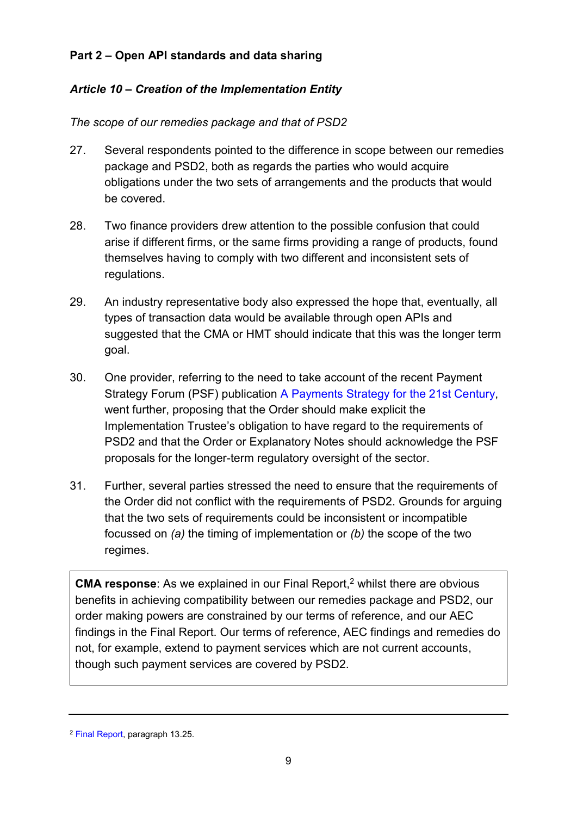### <span id="page-8-0"></span>**Part 2 – Open API standards and data sharing**

### *Article 10 – Creation of the Implementation Entity*

#### *The scope of our remedies package and that of PSD2*

- 27. Several respondents pointed to the difference in scope between our remedies package and PSD2, both as regards the parties who would acquire obligations under the two sets of arrangements and the products that would be covered.
- 28. Two finance providers drew attention to the possible confusion that could arise if different firms, or the same firms providing a range of products, found themselves having to comply with two different and inconsistent sets of regulations.
- 29. An industry representative body also expressed the hope that, eventually, all types of transaction data would be available through open APIs and suggested that the CMA or HMT should indicate that this was the longer term goal.
- 30. One provider, referring to the need to take account of the recent Payment Strategy Forum (PSF) publication [A Payments Strategy for the 21st Century,](https://paymentsforum.uk/sites/default/files/documents/A%20Payments%20Strategy%20for%20the%2021st%20Century%20-%20Putting%20the%20needs%20of%20users%20first_0.pdf) went further, proposing that the Order should make explicit the Implementation Trustee's obligation to have regard to the requirements of PSD2 and that the Order or Explanatory Notes should acknowledge the PSF proposals for the longer-term regulatory oversight of the sector.
- 31. Further, several parties stressed the need to ensure that the requirements of the Order did not conflict with the requirements of PSD2. Grounds for arguing that the two sets of requirements could be inconsistent or incompatible focussed on *(a)* the timing of implementation or *(b)* the scope of the two regimes.

**CMA response:** As we explained in our Final Report,<sup>2</sup> whilst there are obvious benefits in achieving compatibility between our remedies package and PSD2, our order making powers are constrained by our terms of reference, and our AEC findings in the Final Report. Our terms of reference, AEC findings and remedies do not, for example, extend to payment services which are not current accounts, though such payment services are covered by PSD2.

<sup>2</sup> [Final Report,](https://www.gov.uk/cma-cases/review-of-banking-for-small-and-medium-sized-businesses-smes-in-the-uk#final-report) paragraph 13.25.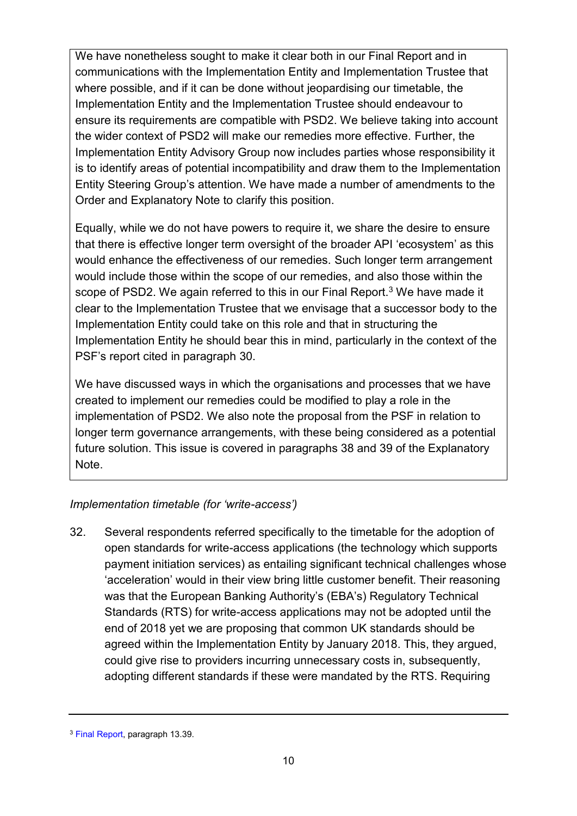We have nonetheless sought to make it clear both in our Final Report and in communications with the Implementation Entity and Implementation Trustee that where possible, and if it can be done without jeopardising our timetable, the Implementation Entity and the Implementation Trustee should endeavour to ensure its requirements are compatible with PSD2. We believe taking into account the wider context of PSD2 will make our remedies more effective. Further, the Implementation Entity Advisory Group now includes parties whose responsibility it is to identify areas of potential incompatibility and draw them to the Implementation Entity Steering Group's attention. We have made a number of amendments to the Order and Explanatory Note to clarify this position.

Equally, while we do not have powers to require it, we share the desire to ensure that there is effective longer term oversight of the broader API 'ecosystem' as this would enhance the effectiveness of our remedies. Such longer term arrangement would include those within the scope of our remedies, and also those within the scope of PSD2. We again referred to this in our Final Report.<sup>3</sup> We have made it clear to the Implementation Trustee that we envisage that a successor body to the Implementation Entity could take on this role and that in structuring the Implementation Entity he should bear this in mind, particularly in the context of the PSF's report cited in paragraph 30.

We have discussed ways in which the organisations and processes that we have created to implement our remedies could be modified to play a role in the implementation of PSD2. We also note the proposal from the PSF in relation to longer term governance arrangements, with these being considered as a potential future solution. This issue is covered in paragraphs 38 and 39 of the Explanatory Note.

#### *Implementation timetable (for 'write-access')*

32. Several respondents referred specifically to the timetable for the adoption of open standards for write-access applications (the technology which supports payment initiation services) as entailing significant technical challenges whose 'acceleration' would in their view bring little customer benefit. Their reasoning was that the European Banking Authority's (EBA's) Regulatory Technical Standards (RTS) for write-access applications may not be adopted until the end of 2018 yet we are proposing that common UK standards should be agreed within the Implementation Entity by January 2018. This, they argued, could give rise to providers incurring unnecessary costs in, subsequently, adopting different standards if these were mandated by the RTS. Requiring

<sup>3</sup> [Final Report,](https://www.gov.uk/cma-cases/review-of-banking-for-small-and-medium-sized-businesses-smes-in-the-uk#final-report) paragraph 13.39.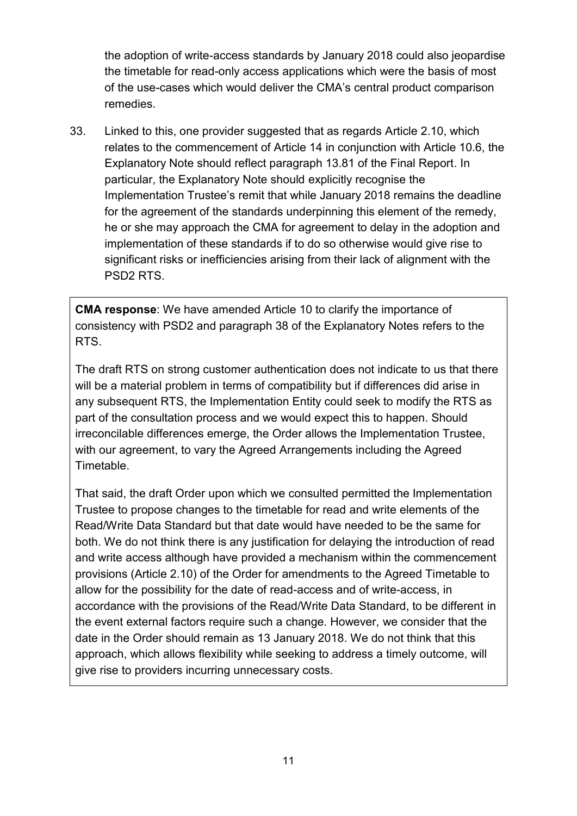the adoption of write-access standards by January 2018 could also jeopardise the timetable for read-only access applications which were the basis of most of the use-cases which would deliver the CMA's central product comparison remedies.

33. Linked to this, one provider suggested that as regards Article 2.10, which relates to the commencement of Article 14 in conjunction with Article 10.6, the Explanatory Note should reflect paragraph 13.81 of the Final Report. In particular, the Explanatory Note should explicitly recognise the Implementation Trustee's remit that while January 2018 remains the deadline for the agreement of the standards underpinning this element of the remedy, he or she may approach the CMA for agreement to delay in the adoption and implementation of these standards if to do so otherwise would give rise to significant risks or inefficiencies arising from their lack of alignment with the PSD2 RTS.

**CMA response**: We have amended Article 10 to clarify the importance of consistency with PSD2 and paragraph 38 of the Explanatory Notes refers to the RTS.

The draft RTS on strong customer authentication does not indicate to us that there will be a material problem in terms of compatibility but if differences did arise in any subsequent RTS, the Implementation Entity could seek to modify the RTS as part of the consultation process and we would expect this to happen. Should irreconcilable differences emerge, the Order allows the Implementation Trustee, with our agreement, to vary the Agreed Arrangements including the Agreed Timetable.

That said, the draft Order upon which we consulted permitted the Implementation Trustee to propose changes to the timetable for read and write elements of the Read/Write Data Standard but that date would have needed to be the same for both. We do not think there is any justification for delaying the introduction of read and write access although have provided a mechanism within the commencement provisions (Article 2.10) of the Order for amendments to the Agreed Timetable to allow for the possibility for the date of read-access and of write-access, in accordance with the provisions of the Read/Write Data Standard, to be different in the event external factors require such a change. However, we consider that the date in the Order should remain as 13 January 2018. We do not think that this approach, which allows flexibility while seeking to address a timely outcome, will give rise to providers incurring unnecessary costs.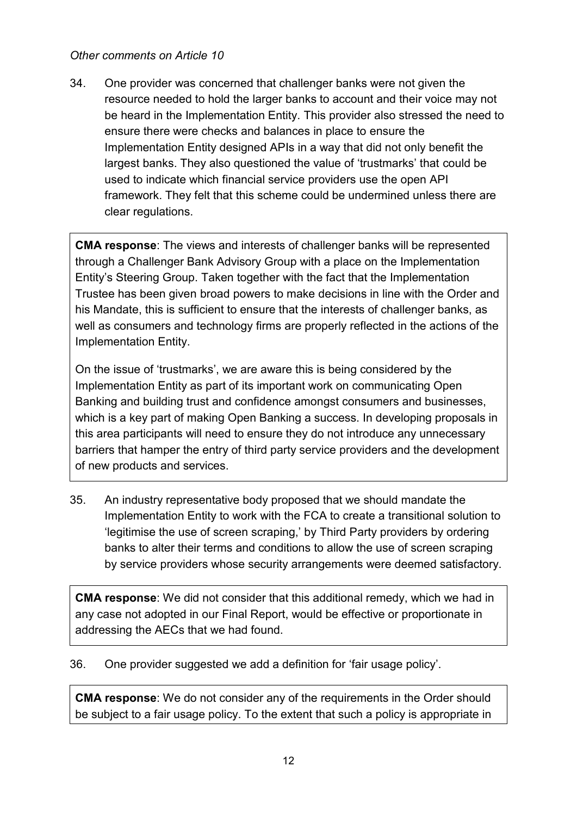#### *Other comments on Article 10*

34. One provider was concerned that challenger banks were not given the resource needed to hold the larger banks to account and their voice may not be heard in the Implementation Entity. This provider also stressed the need to ensure there were checks and balances in place to ensure the Implementation Entity designed APIs in a way that did not only benefit the largest banks. They also questioned the value of 'trustmarks' that could be used to indicate which financial service providers use the open API framework. They felt that this scheme could be undermined unless there are clear regulations.

**CMA response**: The views and interests of challenger banks will be represented through a Challenger Bank Advisory Group with a place on the Implementation Entity's Steering Group. Taken together with the fact that the Implementation Trustee has been given broad powers to make decisions in line with the Order and his Mandate, this is sufficient to ensure that the interests of challenger banks, as well as consumers and technology firms are properly reflected in the actions of the Implementation Entity.

On the issue of 'trustmarks', we are aware this is being considered by the Implementation Entity as part of its important work on communicating Open Banking and building trust and confidence amongst consumers and businesses, which is a key part of making Open Banking a success. In developing proposals in this area participants will need to ensure they do not introduce any unnecessary barriers that hamper the entry of third party service providers and the development of new products and services.

35. An industry representative body proposed that we should mandate the Implementation Entity to work with the FCA to create a transitional solution to 'legitimise the use of screen scraping,' by Third Party providers by ordering banks to alter their terms and conditions to allow the use of screen scraping by service providers whose security arrangements were deemed satisfactory.

**CMA response**: We did not consider that this additional remedy, which we had in any case not adopted in our Final Report, would be effective or proportionate in addressing the AECs that we had found.

36. One provider suggested we add a definition for 'fair usage policy'.

**CMA response**: We do not consider any of the requirements in the Order should be subject to a fair usage policy. To the extent that such a policy is appropriate in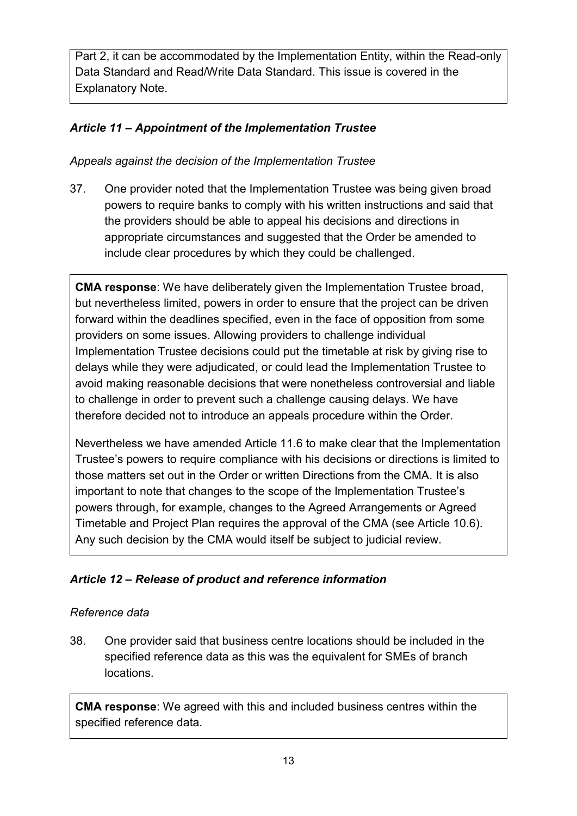Part 2, it can be accommodated by the Implementation Entity, within the Read-only Data Standard and Read/Write Data Standard. This issue is covered in the Explanatory Note.

## *Article 11 – Appointment of the Implementation Trustee*

*Appeals against the decision of the Implementation Trustee* 

37. One provider noted that the Implementation Trustee was being given broad powers to require banks to comply with his written instructions and said that the providers should be able to appeal his decisions and directions in appropriate circumstances and suggested that the Order be amended to include clear procedures by which they could be challenged.

**CMA response**: We have deliberately given the Implementation Trustee broad, but nevertheless limited, powers in order to ensure that the project can be driven forward within the deadlines specified, even in the face of opposition from some providers on some issues. Allowing providers to challenge individual Implementation Trustee decisions could put the timetable at risk by giving rise to delays while they were adjudicated, or could lead the Implementation Trustee to avoid making reasonable decisions that were nonetheless controversial and liable to challenge in order to prevent such a challenge causing delays. We have therefore decided not to introduce an appeals procedure within the Order.

Nevertheless we have amended Article 11.6 to make clear that the Implementation Trustee's powers to require compliance with his decisions or directions is limited to those matters set out in the Order or written Directions from the CMA. It is also important to note that changes to the scope of the Implementation Trustee's powers through, for example, changes to the Agreed Arrangements or Agreed Timetable and Project Plan requires the approval of the CMA (see Article 10.6). Any such decision by the CMA would itself be subject to judicial review.

## *Article 12 – Release of product and reference information*

#### *Reference data*

38. One provider said that business centre locations should be included in the specified reference data as this was the equivalent for SMEs of branch locations.

**CMA response**: We agreed with this and included business centres within the specified reference data.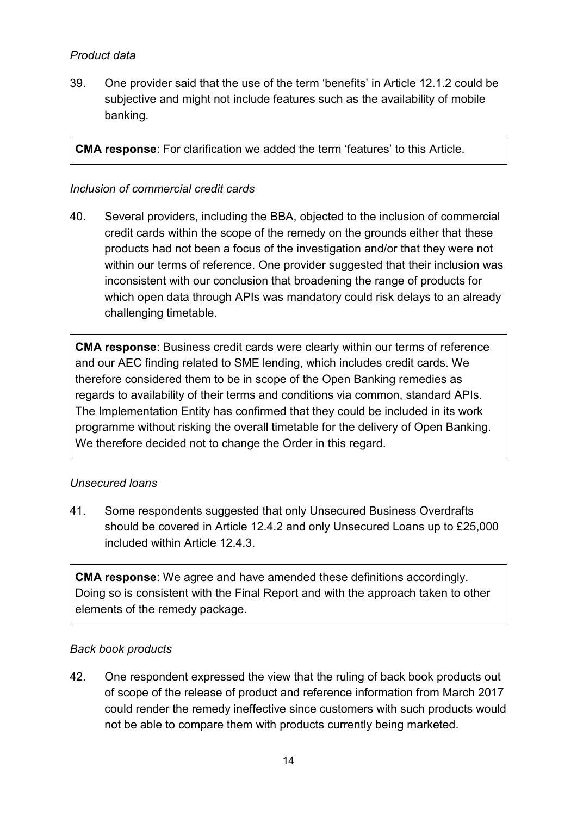#### *Product data*

39. One provider said that the use of the term 'benefits' in Article 12.1.2 could be subjective and might not include features such as the availability of mobile banking.

**CMA response**: For clarification we added the term 'features' to this Article.

#### *Inclusion of commercial credit cards*

40. Several providers, including the BBA, objected to the inclusion of commercial credit cards within the scope of the remedy on the grounds either that these products had not been a focus of the investigation and/or that they were not within our terms of reference. One provider suggested that their inclusion was inconsistent with our conclusion that broadening the range of products for which open data through APIs was mandatory could risk delays to an already challenging timetable.

**CMA response**: Business credit cards were clearly within our terms of reference and our AEC finding related to SME lending, which includes credit cards. We therefore considered them to be in scope of the Open Banking remedies as regards to availability of their terms and conditions via common, standard APIs. The Implementation Entity has confirmed that they could be included in its work programme without risking the overall timetable for the delivery of Open Banking. We therefore decided not to change the Order in this regard.

#### *Unsecured loans*

41. Some respondents suggested that only Unsecured Business Overdrafts should be covered in Article 12.4.2 and only Unsecured Loans up to £25,000 included within Article 12.4.3.

**CMA response**: We agree and have amended these definitions accordingly. Doing so is consistent with the Final Report and with the approach taken to other elements of the remedy package.

#### *Back book products*

42. One respondent expressed the view that the ruling of back book products out of scope of the release of product and reference information from March 2017 could render the remedy ineffective since customers with such products would not be able to compare them with products currently being marketed.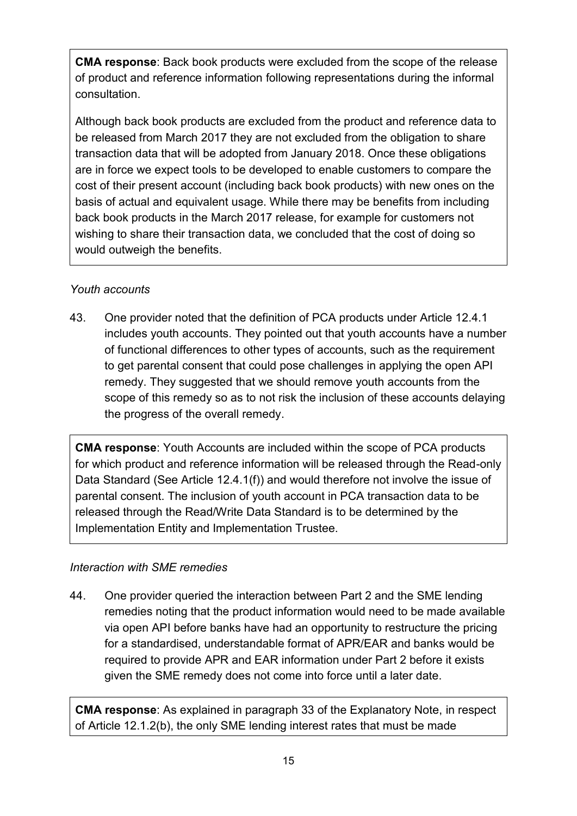**CMA response**: Back book products were excluded from the scope of the release of product and reference information following representations during the informal consultation.

Although back book products are excluded from the product and reference data to be released from March 2017 they are not excluded from the obligation to share transaction data that will be adopted from January 2018. Once these obligations are in force we expect tools to be developed to enable customers to compare the cost of their present account (including back book products) with new ones on the basis of actual and equivalent usage. While there may be benefits from including back book products in the March 2017 release, for example for customers not wishing to share their transaction data, we concluded that the cost of doing so would outweigh the benefits.

## *Youth accounts*

43. One provider noted that the definition of PCA products under Article 12.4.1 includes youth accounts. They pointed out that youth accounts have a number of functional differences to other types of accounts, such as the requirement to get parental consent that could pose challenges in applying the open API remedy. They suggested that we should remove youth accounts from the scope of this remedy so as to not risk the inclusion of these accounts delaying the progress of the overall remedy.

**CMA response**: Youth Accounts are included within the scope of PCA products for which product and reference information will be released through the Read-only Data Standard (See Article 12.4.1(f)) and would therefore not involve the issue of parental consent. The inclusion of youth account in PCA transaction data to be released through the Read/Write Data Standard is to be determined by the Implementation Entity and Implementation Trustee.

## *Interaction with SME remedies*

44. One provider queried the interaction between Part 2 and the SME lending remedies noting that the product information would need to be made available via open API before banks have had an opportunity to restructure the pricing for a standardised, understandable format of APR/EAR and banks would be required to provide APR and EAR information under Part 2 before it exists given the SME remedy does not come into force until a later date.

**CMA response**: As explained in paragraph 33 of the Explanatory Note, in respect of Article 12.1.2(b), the only SME lending interest rates that must be made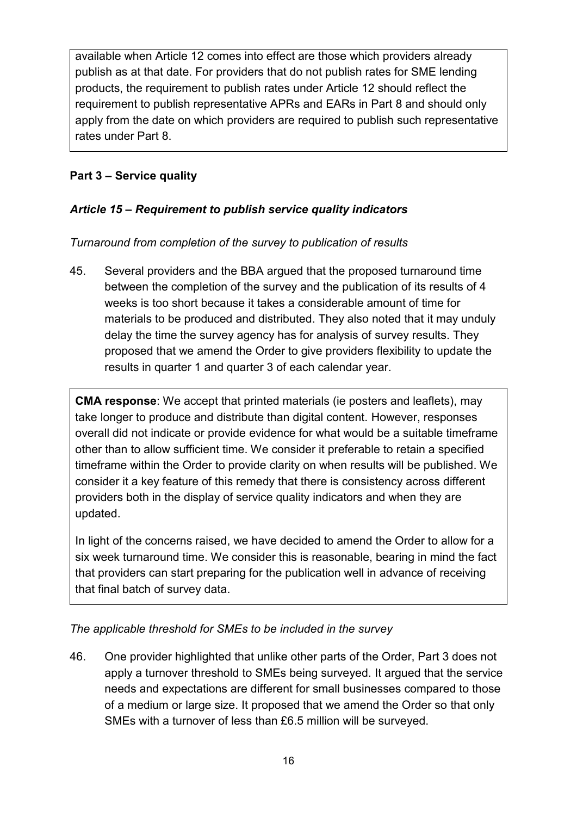available when Article 12 comes into effect are those which providers already publish as at that date. For providers that do not publish rates for SME lending products, the requirement to publish rates under Article 12 should reflect the requirement to publish representative APRs and EARs in Part 8 and should only apply from the date on which providers are required to publish such representative rates under Part 8.

## <span id="page-15-0"></span>**Part 3 – Service quality**

## *Article 15 – Requirement to publish service quality indicators*

### *Turnaround from completion of the survey to publication of results*

45. Several providers and the BBA argued that the proposed turnaround time between the completion of the survey and the publication of its results of 4 weeks is too short because it takes a considerable amount of time for materials to be produced and distributed. They also noted that it may unduly delay the time the survey agency has for analysis of survey results. They proposed that we amend the Order to give providers flexibility to update the results in quarter 1 and quarter 3 of each calendar year.

**CMA response**: We accept that printed materials (ie posters and leaflets), may take longer to produce and distribute than digital content. However, responses overall did not indicate or provide evidence for what would be a suitable timeframe other than to allow sufficient time. We consider it preferable to retain a specified timeframe within the Order to provide clarity on when results will be published. We consider it a key feature of this remedy that there is consistency across different providers both in the display of service quality indicators and when they are updated.

In light of the concerns raised, we have decided to amend the Order to allow for a six week turnaround time. We consider this is reasonable, bearing in mind the fact that providers can start preparing for the publication well in advance of receiving that final batch of survey data.

#### *The applicable threshold for SMEs to be included in the survey*

46. One provider highlighted that unlike other parts of the Order, Part 3 does not apply a turnover threshold to SMEs being surveyed. It argued that the service needs and expectations are different for small businesses compared to those of a medium or large size. It proposed that we amend the Order so that only SMEs with a turnover of less than £6.5 million will be surveyed.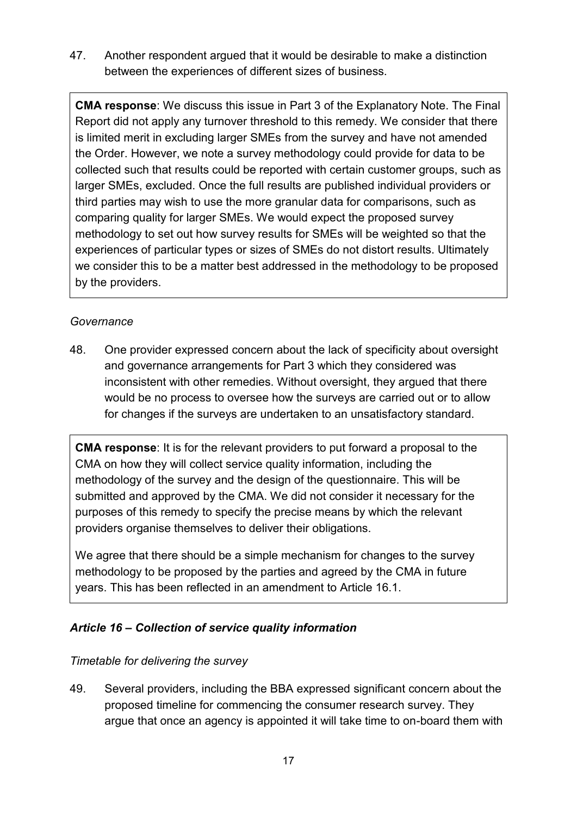47. Another respondent argued that it would be desirable to make a distinction between the experiences of different sizes of business.

**CMA response**: We discuss this issue in Part 3 of the Explanatory Note. The Final Report did not apply any turnover threshold to this remedy. We consider that there is limited merit in excluding larger SMEs from the survey and have not amended the Order. However, we note a survey methodology could provide for data to be collected such that results could be reported with certain customer groups, such as larger SMEs, excluded. Once the full results are published individual providers or third parties may wish to use the more granular data for comparisons, such as comparing quality for larger SMEs. We would expect the proposed survey methodology to set out how survey results for SMEs will be weighted so that the experiences of particular types or sizes of SMEs do not distort results. Ultimately we consider this to be a matter best addressed in the methodology to be proposed by the providers.

#### *Governance*

48. One provider expressed concern about the lack of specificity about oversight and governance arrangements for Part 3 which they considered was inconsistent with other remedies. Without oversight, they argued that there would be no process to oversee how the surveys are carried out or to allow for changes if the surveys are undertaken to an unsatisfactory standard.

**CMA response**: It is for the relevant providers to put forward a proposal to the CMA on how they will collect service quality information, including the methodology of the survey and the design of the questionnaire. This will be submitted and approved by the CMA. We did not consider it necessary for the purposes of this remedy to specify the precise means by which the relevant providers organise themselves to deliver their obligations.

We agree that there should be a simple mechanism for changes to the survey methodology to be proposed by the parties and agreed by the CMA in future years. This has been reflected in an amendment to Article 16.1.

#### *Article 16 – Collection of service quality information*

#### *Timetable for delivering the survey*

49. Several providers, including the BBA expressed significant concern about the proposed timeline for commencing the consumer research survey. They argue that once an agency is appointed it will take time to on-board them with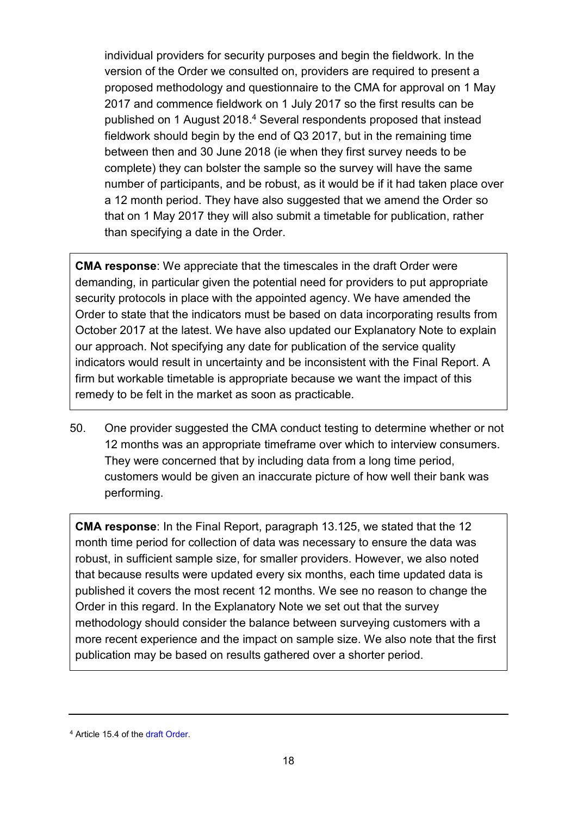individual providers for security purposes and begin the fieldwork. In the version of the Order we consulted on, providers are required to present a proposed methodology and questionnaire to the CMA for approval on 1 May 2017 and commence fieldwork on 1 July 2017 so the first results can be published on 1 August 2018.<sup>4</sup> Several respondents proposed that instead fieldwork should begin by the end of Q3 2017, but in the remaining time between then and 30 June 2018 (ie when they first survey needs to be complete) they can bolster the sample so the survey will have the same number of participants, and be robust, as it would be if it had taken place over a 12 month period. They have also suggested that we amend the Order so that on 1 May 2017 they will also submit a timetable for publication, rather than specifying a date in the Order.

**CMA response**: We appreciate that the timescales in the draft Order were demanding, in particular given the potential need for providers to put appropriate security protocols in place with the appointed agency. We have amended the Order to state that the indicators must be based on data incorporating results from October 2017 at the latest. We have also updated our Explanatory Note to explain our approach. Not specifying any date for publication of the service quality indicators would result in uncertainty and be inconsistent with the Final Report. A firm but workable timetable is appropriate because we want the impact of this remedy to be felt in the market as soon as practicable.

50. One provider suggested the CMA conduct testing to determine whether or not 12 months was an appropriate timeframe over which to interview consumers. They were concerned that by including data from a long time period, customers would be given an inaccurate picture of how well their bank was performing.

**CMA response**: In the Final Report, paragraph 13.125, we stated that the 12 month time period for collection of data was necessary to ensure the data was robust, in sufficient sample size, for smaller providers. However, we also noted that because results were updated every six months, each time updated data is published it covers the most recent 12 months. We see no reason to change the Order in this regard. In the Explanatory Note we set out that the survey methodology should consider the balance between surveying customers with a more recent experience and the impact on sample size. We also note that the first publication may be based on results gathered over a shorter period.

<sup>&</sup>lt;sup>4</sup> Article 15.4 of th[e draft Order.](https://www.gov.uk/cma-cases/review-of-banking-for-small-and-medium-sized-businesses-smes-in-the-uk#formal-consultation-on-draft-retail-banking-order)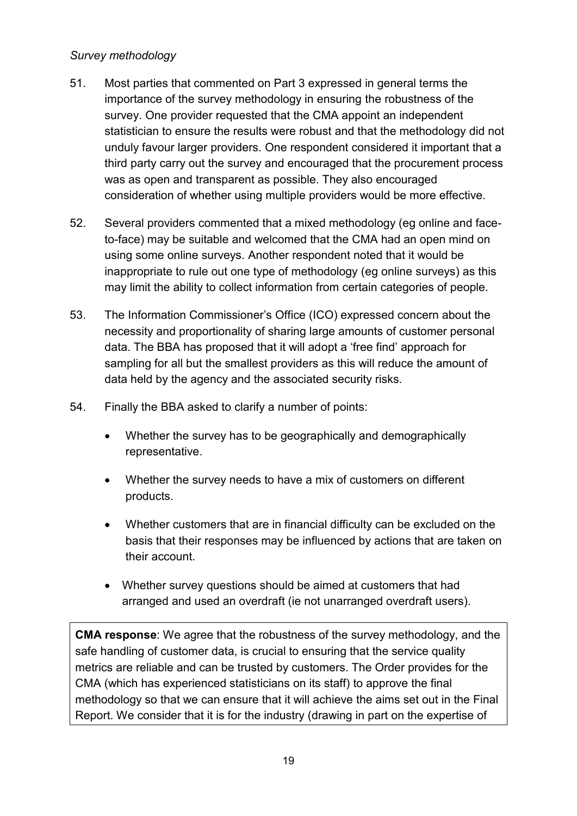#### *Survey methodology*

- 51. Most parties that commented on Part 3 expressed in general terms the importance of the survey methodology in ensuring the robustness of the survey. One provider requested that the CMA appoint an independent statistician to ensure the results were robust and that the methodology did not unduly favour larger providers. One respondent considered it important that a third party carry out the survey and encouraged that the procurement process was as open and transparent as possible. They also encouraged consideration of whether using multiple providers would be more effective.
- 52. Several providers commented that a mixed methodology (eg online and faceto-face) may be suitable and welcomed that the CMA had an open mind on using some online surveys. Another respondent noted that it would be inappropriate to rule out one type of methodology (eg online surveys) as this may limit the ability to collect information from certain categories of people.
- 53. The Information Commissioner's Office (ICO) expressed concern about the necessity and proportionality of sharing large amounts of customer personal data. The BBA has proposed that it will adopt a 'free find' approach for sampling for all but the smallest providers as this will reduce the amount of data held by the agency and the associated security risks.
- 54. Finally the BBA asked to clarify a number of points:
	- Whether the survey has to be geographically and demographically representative.
	- Whether the survey needs to have a mix of customers on different products.
	- Whether customers that are in financial difficulty can be excluded on the basis that their responses may be influenced by actions that are taken on their account.
	- Whether survey questions should be aimed at customers that had arranged and used an overdraft (ie not unarranged overdraft users).

**CMA response**: We agree that the robustness of the survey methodology, and the safe handling of customer data, is crucial to ensuring that the service quality metrics are reliable and can be trusted by customers. The Order provides for the CMA (which has experienced statisticians on its staff) to approve the final methodology so that we can ensure that it will achieve the aims set out in the Final Report. We consider that it is for the industry (drawing in part on the expertise of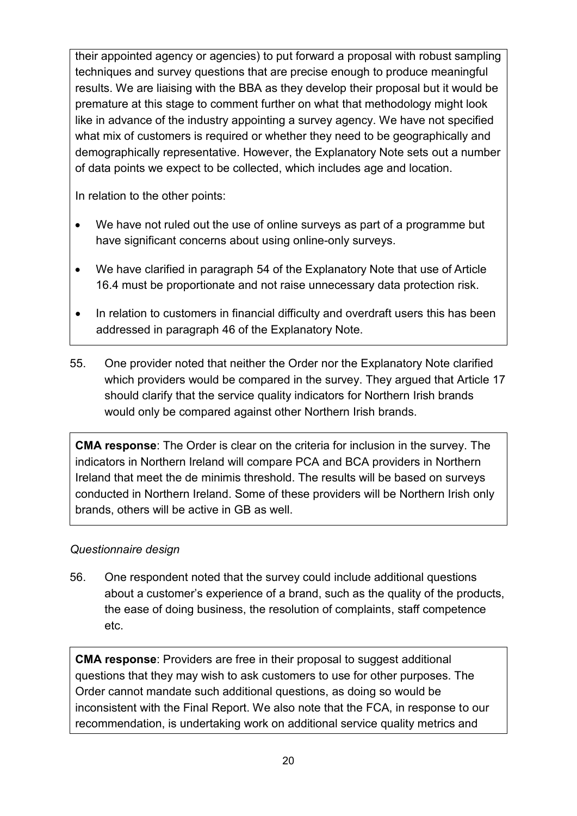their appointed agency or agencies) to put forward a proposal with robust sampling techniques and survey questions that are precise enough to produce meaningful results. We are liaising with the BBA as they develop their proposal but it would be premature at this stage to comment further on what that methodology might look like in advance of the industry appointing a survey agency. We have not specified what mix of customers is required or whether they need to be geographically and demographically representative. However, the Explanatory Note sets out a number of data points we expect to be collected, which includes age and location.

In relation to the other points:

- We have not ruled out the use of online surveys as part of a programme but have significant concerns about using online-only surveys.
- We have clarified in paragraph 54 of the Explanatory Note that use of Article 16.4 must be proportionate and not raise unnecessary data protection risk.
- In relation to customers in financial difficulty and overdraft users this has been addressed in paragraph 46 of the Explanatory Note.
- 55. One provider noted that neither the Order nor the Explanatory Note clarified which providers would be compared in the survey. They argued that Article 17 should clarify that the service quality indicators for Northern Irish brands would only be compared against other Northern Irish brands.

**CMA response**: The Order is clear on the criteria for inclusion in the survey. The indicators in Northern Ireland will compare PCA and BCA providers in Northern Ireland that meet the de minimis threshold. The results will be based on surveys conducted in Northern Ireland. Some of these providers will be Northern Irish only brands, others will be active in GB as well.

## *Questionnaire design*

56. One respondent noted that the survey could include additional questions about a customer's experience of a brand, such as the quality of the products, the ease of doing business, the resolution of complaints, staff competence etc.

**CMA response**: Providers are free in their proposal to suggest additional questions that they may wish to ask customers to use for other purposes. The Order cannot mandate such additional questions, as doing so would be inconsistent with the Final Report. We also note that the FCA, in response to our recommendation, is undertaking work on additional service quality metrics and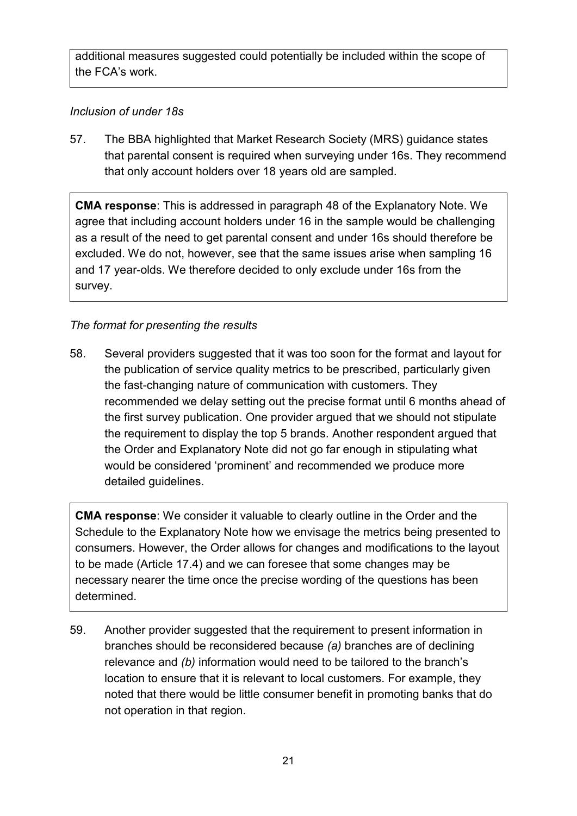additional measures suggested could potentially be included within the scope of the FCA's work.

### *Inclusion of under 18s*

57. The BBA highlighted that Market Research Society (MRS) guidance states that parental consent is required when surveying under 16s. They recommend that only account holders over 18 years old are sampled.

**CMA response**: This is addressed in paragraph 48 of the Explanatory Note. We agree that including account holders under 16 in the sample would be challenging as a result of the need to get parental consent and under 16s should therefore be excluded. We do not, however, see that the same issues arise when sampling 16 and 17 year-olds. We therefore decided to only exclude under 16s from the survey.

### *The format for presenting the results*

58. Several providers suggested that it was too soon for the format and layout for the publication of service quality metrics to be prescribed, particularly given the fast-changing nature of communication with customers. They recommended we delay setting out the precise format until 6 months ahead of the first survey publication. One provider argued that we should not stipulate the requirement to display the top 5 brands. Another respondent argued that the Order and Explanatory Note did not go far enough in stipulating what would be considered 'prominent' and recommended we produce more detailed guidelines.

**CMA response**: We consider it valuable to clearly outline in the Order and the Schedule to the Explanatory Note how we envisage the metrics being presented to consumers. However, the Order allows for changes and modifications to the layout to be made (Article 17.4) and we can foresee that some changes may be necessary nearer the time once the precise wording of the questions has been determined.

59. Another provider suggested that the requirement to present information in branches should be reconsidered because *(a)* branches are of declining relevance and *(b)* information would need to be tailored to the branch's location to ensure that it is relevant to local customers. For example, they noted that there would be little consumer benefit in promoting banks that do not operation in that region.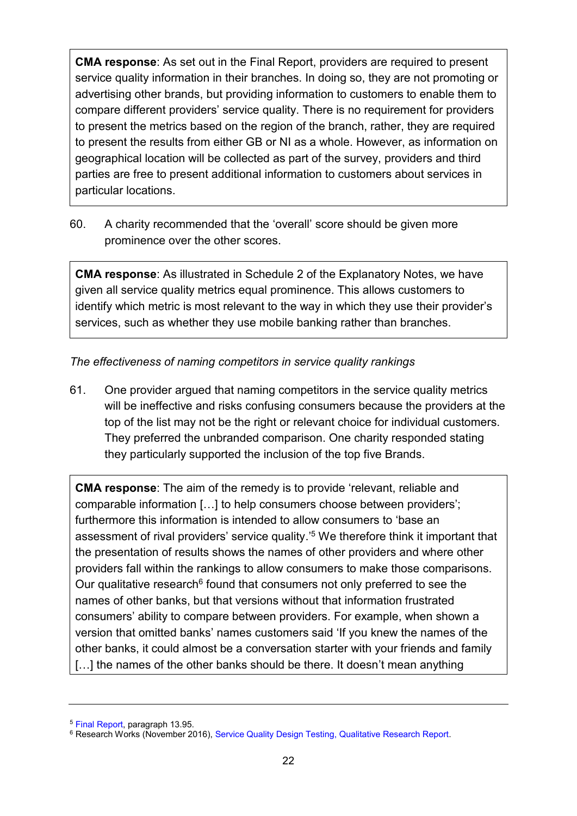**CMA response**: As set out in the Final Report, providers are required to present service quality information in their branches. In doing so, they are not promoting or advertising other brands, but providing information to customers to enable them to compare different providers' service quality. There is no requirement for providers to present the metrics based on the region of the branch, rather, they are required to present the results from either GB or NI as a whole. However, as information on geographical location will be collected as part of the survey, providers and third parties are free to present additional information to customers about services in particular locations.

60. A charity recommended that the 'overall' score should be given more prominence over the other scores.

**CMA response**: As illustrated in Schedule 2 of the Explanatory Notes, we have given all service quality metrics equal prominence. This allows customers to identify which metric is most relevant to the way in which they use their provider's services, such as whether they use mobile banking rather than branches.

*The effectiveness of naming competitors in service quality rankings* 

61. One provider argued that naming competitors in the service quality metrics will be ineffective and risks confusing consumers because the providers at the top of the list may not be the right or relevant choice for individual customers. They preferred the unbranded comparison. One charity responded stating they particularly supported the inclusion of the top five Brands.

**CMA response**: The aim of the remedy is to provide 'relevant, reliable and comparable information […] to help consumers choose between providers'; furthermore this information is intended to allow consumers to 'base an assessment of rival providers' service quality.'<sup>5</sup> We therefore think it important that the presentation of results shows the names of other providers and where other providers fall within the rankings to allow consumers to make those comparisons. Our qualitative research<sup>6</sup> found that consumers not only preferred to see the names of other banks, but that versions without that information frustrated consumers' ability to compare between providers. For example, when shown a version that omitted banks' names customers said 'If you knew the names of the other banks, it could almost be a conversation starter with your friends and family [...] the names of the other banks should be there. It doesn't mean anything

<sup>5</sup> [Final Report,](https://www.gov.uk/cma-cases/review-of-banking-for-small-and-medium-sized-businesses-smes-in-the-uk#final-report) paragraph 13.95.

<sup>&</sup>lt;sup>6</sup> Research Works (November 2016), [Service Quality Design Testing, Qualitative Research Report.](https://assets.publishing.service.gov.uk/media/58401223e5274a1307000052/service-quality-design-testing-qualitative-research-report.pdf)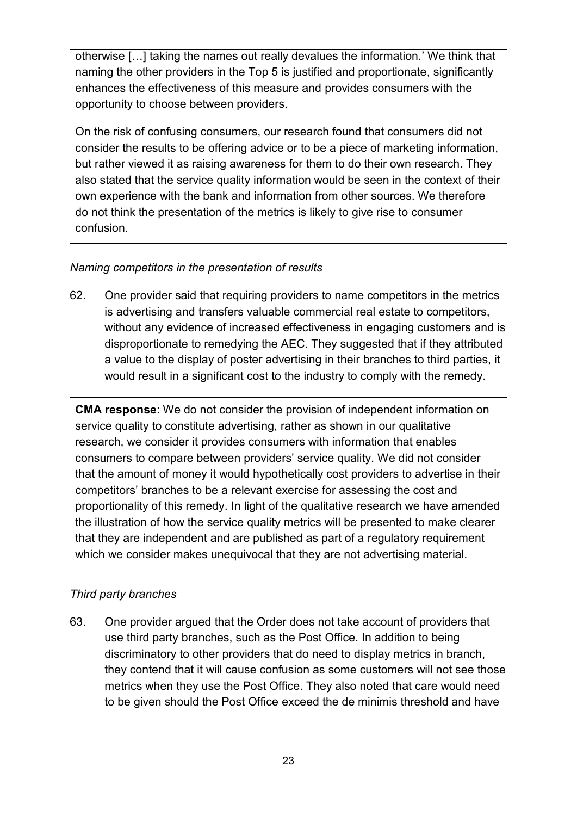otherwise […] taking the names out really devalues the information.' We think that naming the other providers in the Top 5 is justified and proportionate, significantly enhances the effectiveness of this measure and provides consumers with the opportunity to choose between providers.

On the risk of confusing consumers, our research found that consumers did not consider the results to be offering advice or to be a piece of marketing information, but rather viewed it as raising awareness for them to do their own research. They also stated that the service quality information would be seen in the context of their own experience with the bank and information from other sources. We therefore do not think the presentation of the metrics is likely to give rise to consumer confusion.

### *Naming competitors in the presentation of results*

62. One provider said that requiring providers to name competitors in the metrics is advertising and transfers valuable commercial real estate to competitors, without any evidence of increased effectiveness in engaging customers and is disproportionate to remedying the AEC. They suggested that if they attributed a value to the display of poster advertising in their branches to third parties, it would result in a significant cost to the industry to comply with the remedy.

**CMA response**: We do not consider the provision of independent information on service quality to constitute advertising, rather as shown in our qualitative research, we consider it provides consumers with information that enables consumers to compare between providers' service quality. We did not consider that the amount of money it would hypothetically cost providers to advertise in their competitors' branches to be a relevant exercise for assessing the cost and proportionality of this remedy. In light of the qualitative research we have amended the illustration of how the service quality metrics will be presented to make clearer that they are independent and are published as part of a regulatory requirement which we consider makes unequivocal that they are not advertising material.

#### *Third party branches*

63. One provider argued that the Order does not take account of providers that use third party branches, such as the Post Office. In addition to being discriminatory to other providers that do need to display metrics in branch, they contend that it will cause confusion as some customers will not see those metrics when they use the Post Office. They also noted that care would need to be given should the Post Office exceed the de minimis threshold and have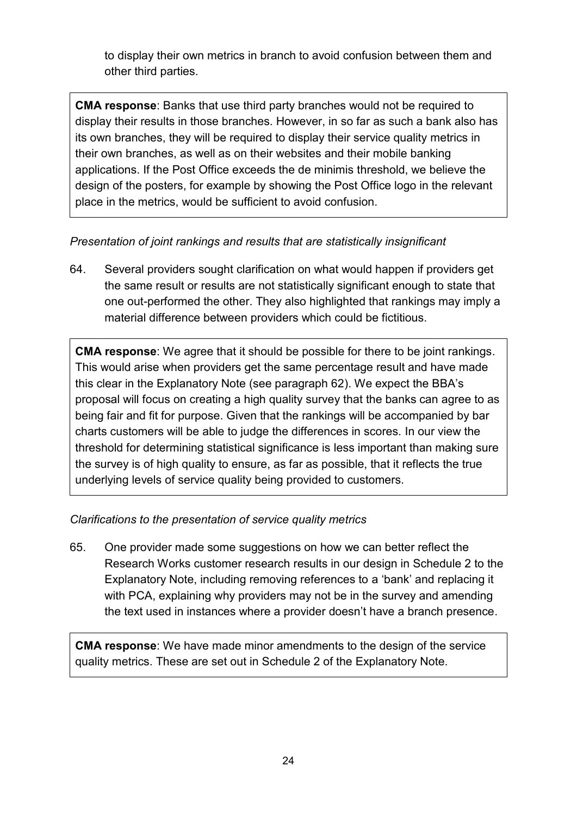to display their own metrics in branch to avoid confusion between them and other third parties.

**CMA response**: Banks that use third party branches would not be required to display their results in those branches. However, in so far as such a bank also has its own branches, they will be required to display their service quality metrics in their own branches, as well as on their websites and their mobile banking applications. If the Post Office exceeds the de minimis threshold, we believe the design of the posters, for example by showing the Post Office logo in the relevant place in the metrics, would be sufficient to avoid confusion.

*Presentation of joint rankings and results that are statistically insignificant* 

64. Several providers sought clarification on what would happen if providers get the same result or results are not statistically significant enough to state that one out-performed the other. They also highlighted that rankings may imply a material difference between providers which could be fictitious.

**CMA response**: We agree that it should be possible for there to be joint rankings. This would arise when providers get the same percentage result and have made this clear in the Explanatory Note (see paragraph 62). We expect the BBA's proposal will focus on creating a high quality survey that the banks can agree to as being fair and fit for purpose. Given that the rankings will be accompanied by bar charts customers will be able to judge the differences in scores. In our view the threshold for determining statistical significance is less important than making sure the survey is of high quality to ensure, as far as possible, that it reflects the true underlying levels of service quality being provided to customers.

## *Clarifications to the presentation of service quality metrics*

65. One provider made some suggestions on how we can better reflect the Research Works customer research results in our design in Schedule 2 to the Explanatory Note, including removing references to a 'bank' and replacing it with PCA, explaining why providers may not be in the survey and amending the text used in instances where a provider doesn't have a branch presence.

**CMA response**: We have made minor amendments to the design of the service quality metrics. These are set out in Schedule 2 of the Explanatory Note.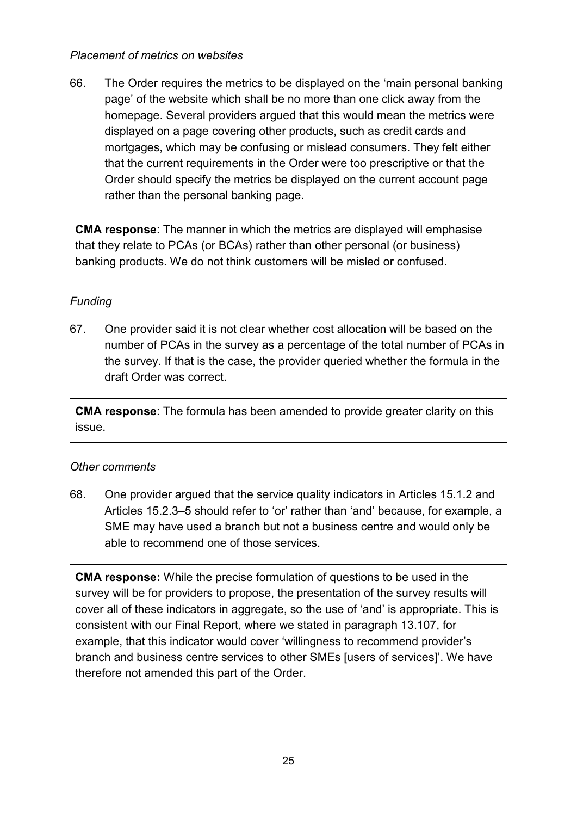#### *Placement of metrics on websites*

66. The Order requires the metrics to be displayed on the 'main personal banking page' of the website which shall be no more than one click away from the homepage. Several providers argued that this would mean the metrics were displayed on a page covering other products, such as credit cards and mortgages, which may be confusing or mislead consumers. They felt either that the current requirements in the Order were too prescriptive or that the Order should specify the metrics be displayed on the current account page rather than the personal banking page.

**CMA response**: The manner in which the metrics are displayed will emphasise that they relate to PCAs (or BCAs) rather than other personal (or business) banking products. We do not think customers will be misled or confused.

## *Funding*

67. One provider said it is not clear whether cost allocation will be based on the number of PCAs in the survey as a percentage of the total number of PCAs in the survey. If that is the case, the provider queried whether the formula in the draft Order was correct.

**CMA response**: The formula has been amended to provide greater clarity on this issue.

#### *Other comments*

68. One provider argued that the service quality indicators in Articles 15.1.2 and Articles 15.2.3–5 should refer to 'or' rather than 'and' because, for example, a SME may have used a branch but not a business centre and would only be able to recommend one of those services.

**CMA response:** While the precise formulation of questions to be used in the survey will be for providers to propose, the presentation of the survey results will cover all of these indicators in aggregate, so the use of 'and' is appropriate. This is consistent with our Final Report, where we stated in paragraph 13.107, for example, that this indicator would cover 'willingness to recommend provider's branch and business centre services to other SMEs [users of services]'. We have therefore not amended this part of the Order.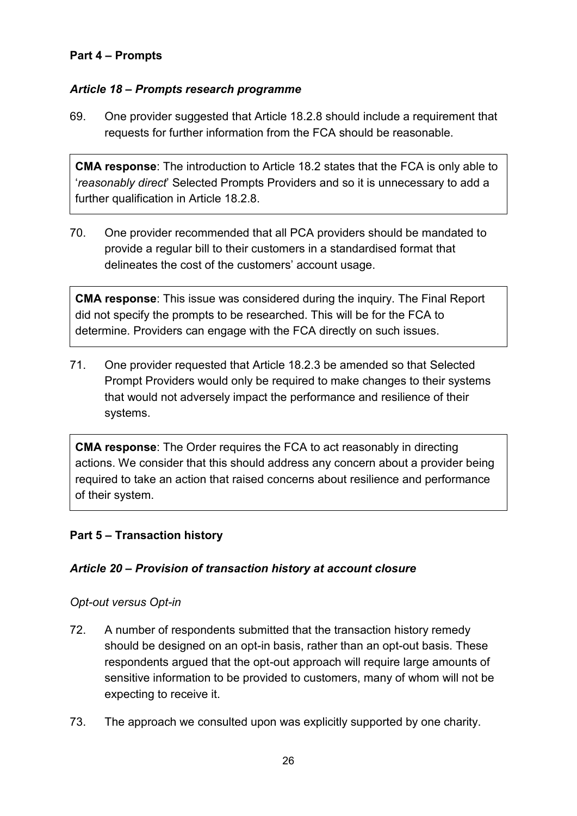#### <span id="page-25-0"></span>**Part 4 – Prompts**

### *Article 18 – Prompts research programme*

69. One provider suggested that Article 18.2.8 should include a requirement that requests for further information from the FCA should be reasonable.

**CMA response**: The introduction to Article 18.2 states that the FCA is only able to '*reasonably direct*' Selected Prompts Providers and so it is unnecessary to add a further qualification in Article 18.2.8.

70. One provider recommended that all PCA providers should be mandated to provide a regular bill to their customers in a standardised format that delineates the cost of the customers' account usage.

**CMA response**: This issue was considered during the inquiry. The Final Report did not specify the prompts to be researched. This will be for the FCA to determine. Providers can engage with the FCA directly on such issues.

71. One provider requested that Article 18.2.3 be amended so that Selected Prompt Providers would only be required to make changes to their systems that would not adversely impact the performance and resilience of their systems.

**CMA response**: The Order requires the FCA to act reasonably in directing actions. We consider that this should address any concern about a provider being required to take an action that raised concerns about resilience and performance of their system.

#### <span id="page-25-1"></span>**Part 5 – Transaction history**

#### *Article 20 – Provision of transaction history at account closure*

#### *Opt-out versus Opt-in*

- 72. A number of respondents submitted that the transaction history remedy should be designed on an opt-in basis, rather than an opt-out basis. These respondents argued that the opt-out approach will require large amounts of sensitive information to be provided to customers, many of whom will not be expecting to receive it.
- 73. The approach we consulted upon was explicitly supported by one charity.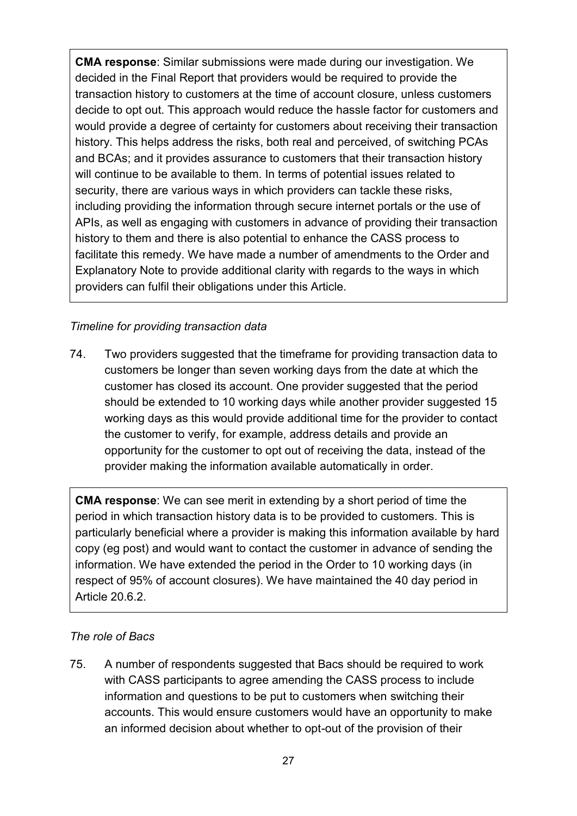**CMA response**: Similar submissions were made during our investigation. We decided in the Final Report that providers would be required to provide the transaction history to customers at the time of account closure, unless customers decide to opt out. This approach would reduce the hassle factor for customers and would provide a degree of certainty for customers about receiving their transaction history. This helps address the risks, both real and perceived, of switching PCAs and BCAs; and it provides assurance to customers that their transaction history will continue to be available to them. In terms of potential issues related to security, there are various ways in which providers can tackle these risks, including providing the information through secure internet portals or the use of APIs, as well as engaging with customers in advance of providing their transaction history to them and there is also potential to enhance the CASS process to facilitate this remedy. We have made a number of amendments to the Order and Explanatory Note to provide additional clarity with regards to the ways in which providers can fulfil their obligations under this Article.

## *Timeline for providing transaction data*

74. Two providers suggested that the timeframe for providing transaction data to customers be longer than seven working days from the date at which the customer has closed its account. One provider suggested that the period should be extended to 10 working days while another provider suggested 15 working days as this would provide additional time for the provider to contact the customer to verify, for example, address details and provide an opportunity for the customer to opt out of receiving the data, instead of the provider making the information available automatically in order.

**CMA response**: We can see merit in extending by a short period of time the period in which transaction history data is to be provided to customers. This is particularly beneficial where a provider is making this information available by hard copy (eg post) and would want to contact the customer in advance of sending the information. We have extended the period in the Order to 10 working days (in respect of 95% of account closures). We have maintained the 40 day period in Article 20.6.2.

#### *The role of Bacs*

75. A number of respondents suggested that Bacs should be required to work with CASS participants to agree amending the CASS process to include information and questions to be put to customers when switching their accounts. This would ensure customers would have an opportunity to make an informed decision about whether to opt-out of the provision of their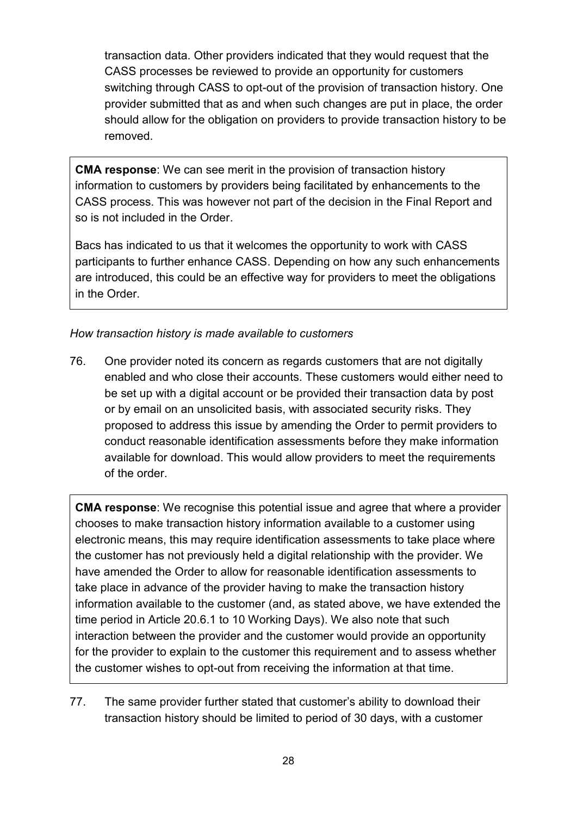transaction data. Other providers indicated that they would request that the CASS processes be reviewed to provide an opportunity for customers switching through CASS to opt-out of the provision of transaction history. One provider submitted that as and when such changes are put in place, the order should allow for the obligation on providers to provide transaction history to be removed.

**CMA response**: We can see merit in the provision of transaction history information to customers by providers being facilitated by enhancements to the CASS process. This was however not part of the decision in the Final Report and so is not included in the Order.

Bacs has indicated to us that it welcomes the opportunity to work with CASS participants to further enhance CASS. Depending on how any such enhancements are introduced, this could be an effective way for providers to meet the obligations in the Order.

### *How transaction history is made available to customers*

76. One provider noted its concern as regards customers that are not digitally enabled and who close their accounts. These customers would either need to be set up with a digital account or be provided their transaction data by post or by email on an unsolicited basis, with associated security risks. They proposed to address this issue by amending the Order to permit providers to conduct reasonable identification assessments before they make information available for download. This would allow providers to meet the requirements of the order.

**CMA response**: We recognise this potential issue and agree that where a provider chooses to make transaction history information available to a customer using electronic means, this may require identification assessments to take place where the customer has not previously held a digital relationship with the provider. We have amended the Order to allow for reasonable identification assessments to take place in advance of the provider having to make the transaction history information available to the customer (and, as stated above, we have extended the time period in Article 20.6.1 to 10 Working Days). We also note that such interaction between the provider and the customer would provide an opportunity for the provider to explain to the customer this requirement and to assess whether the customer wishes to opt-out from receiving the information at that time.

77. The same provider further stated that customer's ability to download their transaction history should be limited to period of 30 days, with a customer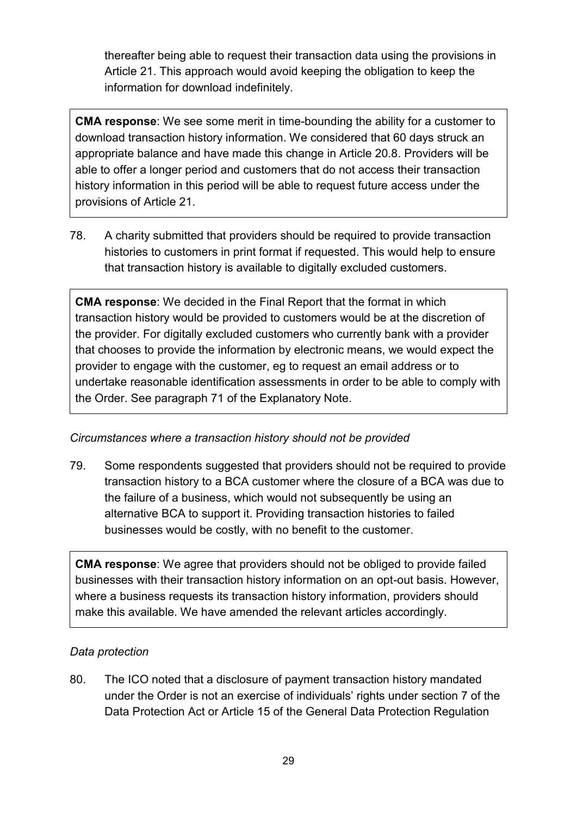thereafter being able to request their transaction data using the provisions in Article 21. This approach would avoid keeping the obligation to keep the information for download indefinitely.

**CMA response**: We see some merit in time-bounding the ability for a customer to download transaction history information. We considered that 60 days struck an appropriate balance and have made this change in Article 20.8. Providers will be able to offer a longer period and customers that do not access their transaction history information in this period will be able to request future access under the provisions of Article 21.

78. A charity submitted that providers should be required to provide transaction histories to customers in print format if requested. This would help to ensure that transaction history is available to digitally excluded customers.

**CMA response**: We decided in the Final Report that the format in which transaction history would be provided to customers would be at the discretion of the provider. For digitally excluded customers who currently bank with a provider that chooses to provide the information by electronic means, we would expect the provider to engage with the customer, eg to request an email address or to undertake reasonable identification assessments in order to be able to comply with the Order. See paragraph 71 of the Explanatory Note.

## *Circumstances where a transaction history should not be provided*

79. Some respondents suggested that providers should not be required to provide transaction history to a BCA customer where the closure of a BCA was due to the failure of a business, which would not subsequently be using an alternative BCA to support it. Providing transaction histories to failed businesses would be costly, with no benefit to the customer.

**CMA response**: We agree that providers should not be obliged to provide failed businesses with their transaction history information on an opt-out basis. However, where a business requests its transaction history information, providers should make this available. We have amended the relevant articles accordingly.

#### *Data protection*

80. The ICO noted that a disclosure of payment transaction history mandated under the Order is not an exercise of individuals' rights under section 7 of the Data Protection Act or Article 15 of the General Data Protection Regulation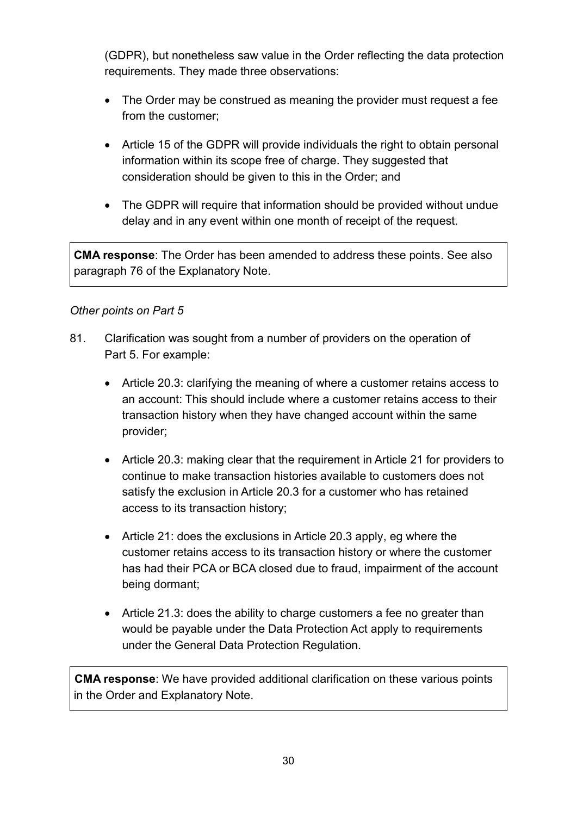(GDPR), but nonetheless saw value in the Order reflecting the data protection requirements. They made three observations:

- The Order may be construed as meaning the provider must request a fee from the customer;
- Article 15 of the GDPR will provide individuals the right to obtain personal information within its scope free of charge. They suggested that consideration should be given to this in the Order; and
- The GDPR will require that information should be provided without undue delay and in any event within one month of receipt of the request.

**CMA response**: The Order has been amended to address these points. See also paragraph 76 of the Explanatory Note.

#### *Other points on Part 5*

- 81. Clarification was sought from a number of providers on the operation of Part 5. For example:
	- Article 20.3: clarifying the meaning of where a customer retains access to an account: This should include where a customer retains access to their transaction history when they have changed account within the same provider;
	- Article 20.3: making clear that the requirement in Article 21 for providers to continue to make transaction histories available to customers does not satisfy the exclusion in Article 20.3 for a customer who has retained access to its transaction history;
	- Article 21: does the exclusions in Article 20.3 apply, eg where the customer retains access to its transaction history or where the customer has had their PCA or BCA closed due to fraud, impairment of the account being dormant;
	- Article 21.3: does the ability to charge customers a fee no greater than would be payable under the Data Protection Act apply to requirements under the General Data Protection Regulation.

**CMA response**: We have provided additional clarification on these various points in the Order and Explanatory Note.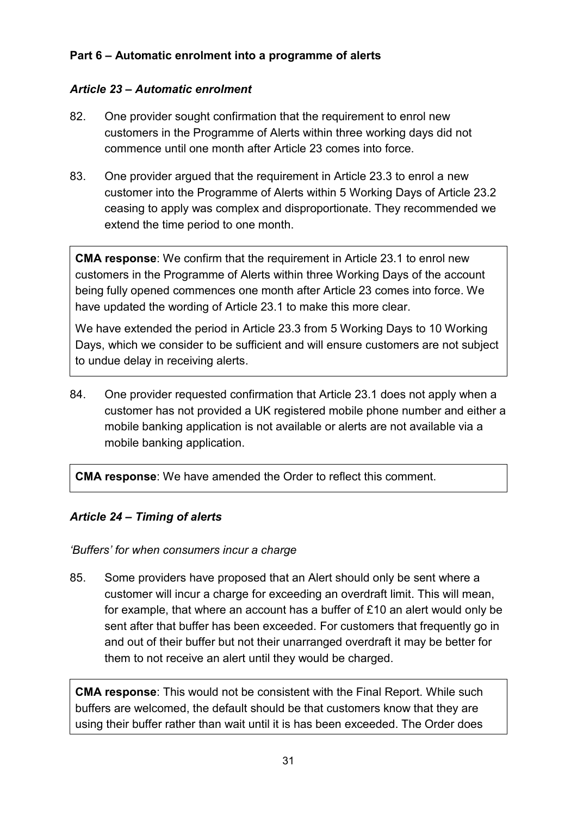### <span id="page-30-0"></span>**Part 6 – Automatic enrolment into a programme of alerts**

#### *Article 23 – Automatic enrolment*

- 82. One provider sought confirmation that the requirement to enrol new customers in the Programme of Alerts within three working days did not commence until one month after Article 23 comes into force.
- 83. One provider argued that the requirement in Article 23.3 to enrol a new customer into the Programme of Alerts within 5 Working Days of Article 23.2 ceasing to apply was complex and disproportionate. They recommended we extend the time period to one month.

**CMA response**: We confirm that the requirement in Article 23.1 to enrol new customers in the Programme of Alerts within three Working Days of the account being fully opened commences one month after Article 23 comes into force. We have updated the wording of Article 23.1 to make this more clear.

We have extended the period in Article 23.3 from 5 Working Days to 10 Working Days, which we consider to be sufficient and will ensure customers are not subject to undue delay in receiving alerts.

84. One provider requested confirmation that Article 23.1 does not apply when a customer has not provided a UK registered mobile phone number and either a mobile banking application is not available or alerts are not available via a mobile banking application.

**CMA response**: We have amended the Order to reflect this comment.

#### *Article 24 – Timing of alerts*

*'Buffers' for when consumers incur a charge* 

85. Some providers have proposed that an Alert should only be sent where a customer will incur a charge for exceeding an overdraft limit. This will mean, for example, that where an account has a buffer of £10 an alert would only be sent after that buffer has been exceeded. For customers that frequently go in and out of their buffer but not their unarranged overdraft it may be better for them to not receive an alert until they would be charged.

**CMA response**: This would not be consistent with the Final Report. While such buffers are welcomed, the default should be that customers know that they are using their buffer rather than wait until it is has been exceeded. The Order does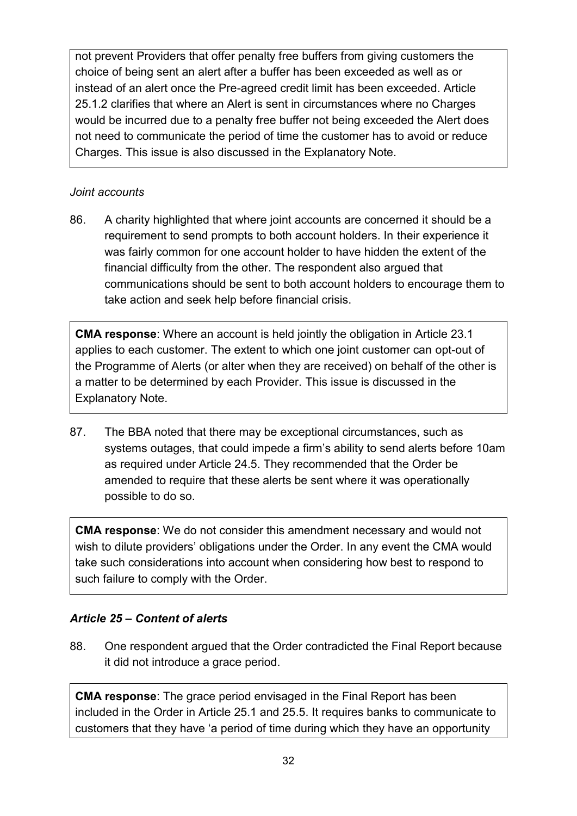not prevent Providers that offer penalty free buffers from giving customers the choice of being sent an alert after a buffer has been exceeded as well as or instead of an alert once the Pre-agreed credit limit has been exceeded. Article 25.1.2 clarifies that where an Alert is sent in circumstances where no Charges would be incurred due to a penalty free buffer not being exceeded the Alert does not need to communicate the period of time the customer has to avoid or reduce Charges. This issue is also discussed in the Explanatory Note.

#### *Joint accounts*

86. A charity highlighted that where joint accounts are concerned it should be a requirement to send prompts to both account holders. In their experience it was fairly common for one account holder to have hidden the extent of the financial difficulty from the other. The respondent also argued that communications should be sent to both account holders to encourage them to take action and seek help before financial crisis.

**CMA response**: Where an account is held jointly the obligation in Article 23.1 applies to each customer. The extent to which one joint customer can opt-out of the Programme of Alerts (or alter when they are received) on behalf of the other is a matter to be determined by each Provider. This issue is discussed in the Explanatory Note.

87. The BBA noted that there may be exceptional circumstances, such as systems outages, that could impede a firm's ability to send alerts before 10am as required under Article 24.5. They recommended that the Order be amended to require that these alerts be sent where it was operationally possible to do so.

**CMA response**: We do not consider this amendment necessary and would not wish to dilute providers' obligations under the Order. In any event the CMA would take such considerations into account when considering how best to respond to such failure to comply with the Order.

## *Article 25 – Content of alerts*

88. One respondent argued that the Order contradicted the Final Report because it did not introduce a grace period.

**CMA response**: The grace period envisaged in the Final Report has been included in the Order in Article 25.1 and 25.5. It requires banks to communicate to customers that they have 'a period of time during which they have an opportunity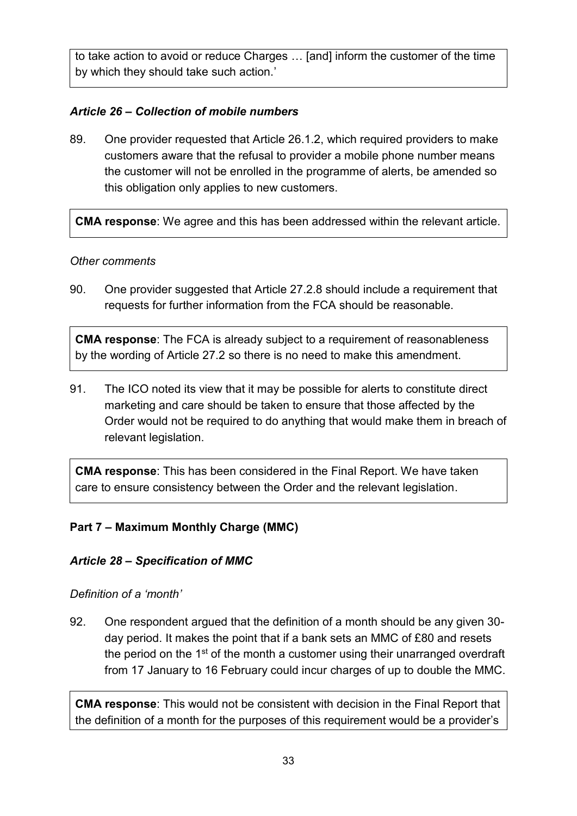to take action to avoid or reduce Charges … [and] inform the customer of the time by which they should take such action.'

### *Article 26 – Collection of mobile numbers*

89. One provider requested that Article 26.1.2, which required providers to make customers aware that the refusal to provider a mobile phone number means the customer will not be enrolled in the programme of alerts, be amended so this obligation only applies to new customers.

**CMA response**: We agree and this has been addressed within the relevant article.

#### *Other comments*

90. One provider suggested that Article 27.2.8 should include a requirement that requests for further information from the FCA should be reasonable.

**CMA response**: The FCA is already subject to a requirement of reasonableness by the wording of Article 27.2 so there is no need to make this amendment.

91. The ICO noted its view that it may be possible for alerts to constitute direct marketing and care should be taken to ensure that those affected by the Order would not be required to do anything that would make them in breach of relevant legislation.

**CMA response**: This has been considered in the Final Report. We have taken care to ensure consistency between the Order and the relevant legislation.

#### <span id="page-32-0"></span>**Part 7 – Maximum Monthly Charge (MMC)**

#### *Article 28 – Specification of MMC*

#### *Definition of a 'month'*

92. One respondent argued that the definition of a month should be any given 30 day period. It makes the point that if a bank sets an MMC of £80 and resets the period on the 1st of the month a customer using their unarranged overdraft from 17 January to 16 February could incur charges of up to double the MMC.

**CMA response**: This would not be consistent with decision in the Final Report that the definition of a month for the purposes of this requirement would be a provider's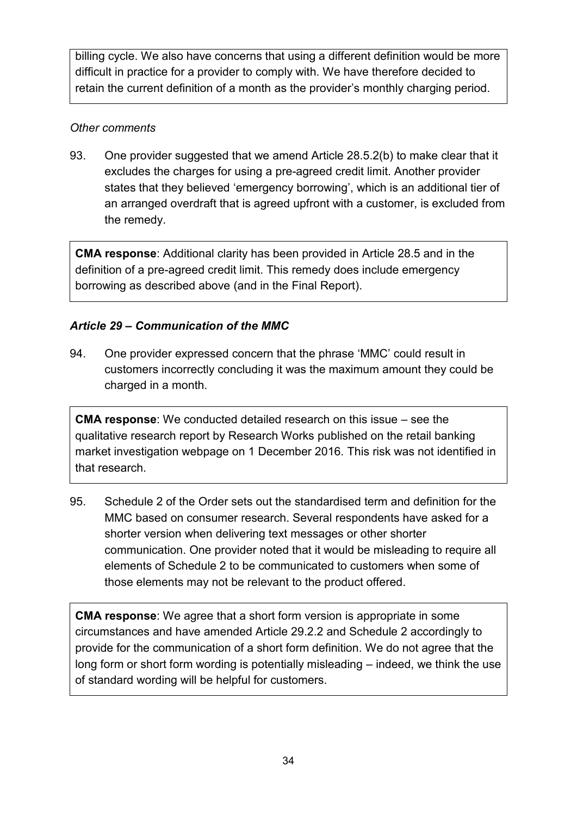billing cycle. We also have concerns that using a different definition would be more difficult in practice for a provider to comply with. We have therefore decided to retain the current definition of a month as the provider's monthly charging period.

### *Other comments*

93. One provider suggested that we amend Article 28.5.2(b) to make clear that it excludes the charges for using a pre-agreed credit limit. Another provider states that they believed 'emergency borrowing', which is an additional tier of an arranged overdraft that is agreed upfront with a customer, is excluded from the remedy.

**CMA response**: Additional clarity has been provided in Article 28.5 and in the definition of a pre-agreed credit limit. This remedy does include emergency borrowing as described above (and in the Final Report).

## *Article 29 – Communication of the MMC*

94. One provider expressed concern that the phrase 'MMC' could result in customers incorrectly concluding it was the maximum amount they could be charged in a month.

**CMA response**: We conducted detailed research on this issue – see the qualitative research report by Research Works published on the retail banking market investigation webpage on 1 December 2016. This risk was not identified in that research.

95. Schedule 2 of the Order sets out the standardised term and definition for the MMC based on consumer research. Several respondents have asked for a shorter version when delivering text messages or other shorter communication. One provider noted that it would be misleading to require all elements of Schedule 2 to be communicated to customers when some of those elements may not be relevant to the product offered.

**CMA response**: We agree that a short form version is appropriate in some circumstances and have amended Article 29.2.2 and Schedule 2 accordingly to provide for the communication of a short form definition. We do not agree that the long form or short form wording is potentially misleading – indeed, we think the use of standard wording will be helpful for customers.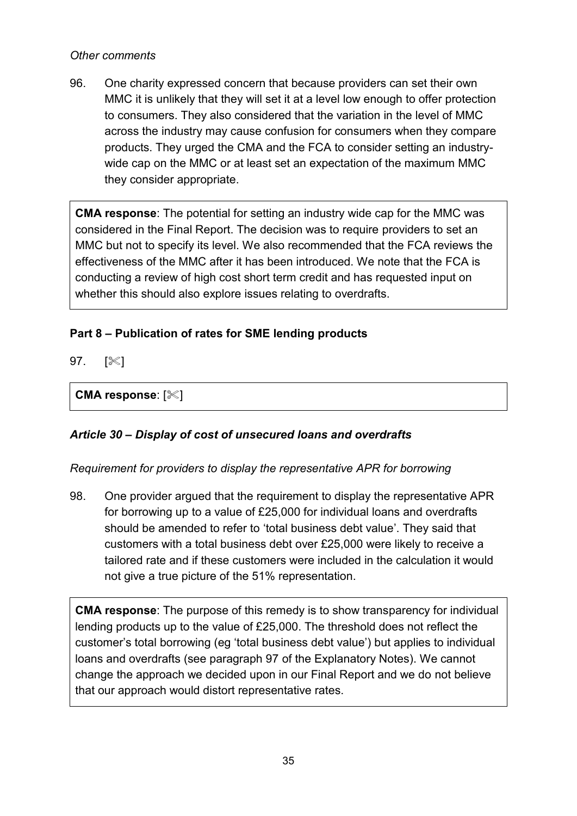#### *Other comments*

96. One charity expressed concern that because providers can set their own MMC it is unlikely that they will set it at a level low enough to offer protection to consumers. They also considered that the variation in the level of MMC across the industry may cause confusion for consumers when they compare products. They urged the CMA and the FCA to consider setting an industrywide cap on the MMC or at least set an expectation of the maximum MMC they consider appropriate.

**CMA response**: The potential for setting an industry wide cap for the MMC was considered in the Final Report. The decision was to require providers to set an MMC but not to specify its level. We also recommended that the FCA reviews the effectiveness of the MMC after it has been introduced. We note that the FCA is conducting a review of high cost short term credit and has requested input on whether this should also explore issues relating to overdrafts.

## <span id="page-34-0"></span>**Part 8 – Publication of rates for SME lending products**

97.  $[\%]$ 

**CMA response: [** $\ll$ **]** 

#### *Article 30 – Display of cost of unsecured loans and overdrafts*

#### *Requirement for providers to display the representative APR for borrowing*

98. One provider argued that the requirement to display the representative APR for borrowing up to a value of £25,000 for individual loans and overdrafts should be amended to refer to 'total business debt value'. They said that customers with a total business debt over £25,000 were likely to receive a tailored rate and if these customers were included in the calculation it would not give a true picture of the 51% representation.

**CMA response**: The purpose of this remedy is to show transparency for individual lending products up to the value of £25,000. The threshold does not reflect the customer's total borrowing (eg 'total business debt value') but applies to individual loans and overdrafts (see paragraph 97 of the Explanatory Notes). We cannot change the approach we decided upon in our Final Report and we do not believe that our approach would distort representative rates.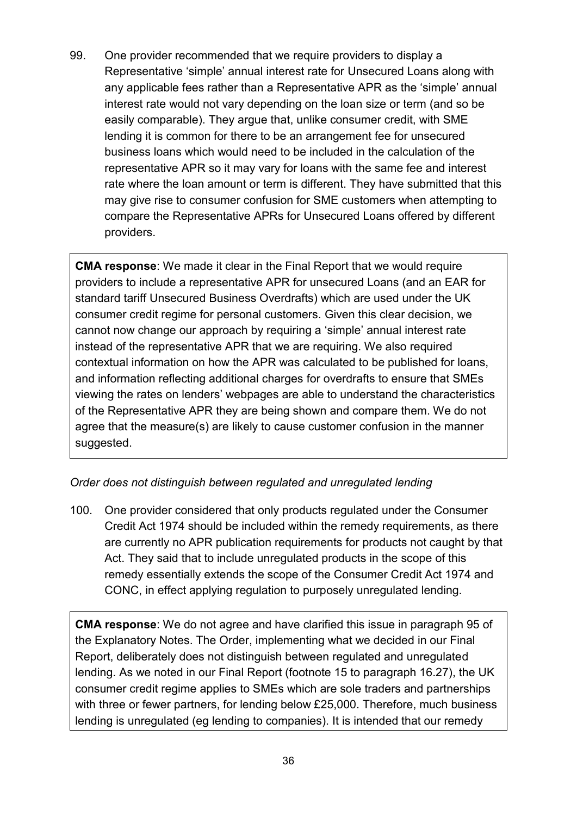99. One provider recommended that we require providers to display a Representative 'simple' annual interest rate for Unsecured Loans along with any applicable fees rather than a Representative APR as the 'simple' annual interest rate would not vary depending on the loan size or term (and so be easily comparable). They argue that, unlike consumer credit, with SME lending it is common for there to be an arrangement fee for unsecured business loans which would need to be included in the calculation of the representative APR so it may vary for loans with the same fee and interest rate where the loan amount or term is different. They have submitted that this may give rise to consumer confusion for SME customers when attempting to compare the Representative APRs for Unsecured Loans offered by different providers.

**CMA response**: We made it clear in the Final Report that we would require providers to include a representative APR for unsecured Loans (and an EAR for standard tariff Unsecured Business Overdrafts) which are used under the UK consumer credit regime for personal customers. Given this clear decision, we cannot now change our approach by requiring a 'simple' annual interest rate instead of the representative APR that we are requiring. We also required contextual information on how the APR was calculated to be published for loans, and information reflecting additional charges for overdrafts to ensure that SMEs viewing the rates on lenders' webpages are able to understand the characteristics of the Representative APR they are being shown and compare them. We do not agree that the measure(s) are likely to cause customer confusion in the manner suggested.

#### *Order does not distinguish between regulated and unregulated lending*

100. One provider considered that only products regulated under the Consumer Credit Act 1974 should be included within the remedy requirements, as there are currently no APR publication requirements for products not caught by that Act. They said that to include unregulated products in the scope of this remedy essentially extends the scope of the Consumer Credit Act 1974 and CONC, in effect applying regulation to purposely unregulated lending.

**CMA response**: We do not agree and have clarified this issue in paragraph 95 of the Explanatory Notes. The Order, implementing what we decided in our Final Report, deliberately does not distinguish between regulated and unregulated lending. As we noted in our Final Report (footnote 15 to paragraph 16.27), the UK consumer credit regime applies to SMEs which are sole traders and partnerships with three or fewer partners, for lending below £25,000. Therefore, much business lending is unregulated (eg lending to companies). It is intended that our remedy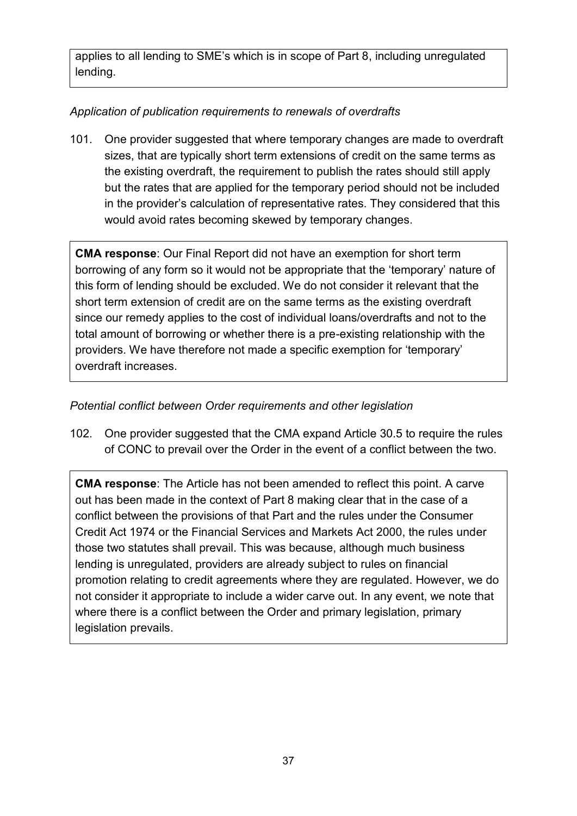applies to all lending to SME's which is in scope of Part 8, including unregulated lending.

## *Application of publication requirements to renewals of overdrafts*

101. One provider suggested that where temporary changes are made to overdraft sizes, that are typically short term extensions of credit on the same terms as the existing overdraft, the requirement to publish the rates should still apply but the rates that are applied for the temporary period should not be included in the provider's calculation of representative rates. They considered that this would avoid rates becoming skewed by temporary changes.

**CMA response**: Our Final Report did not have an exemption for short term borrowing of any form so it would not be appropriate that the 'temporary' nature of this form of lending should be excluded. We do not consider it relevant that the short term extension of credit are on the same terms as the existing overdraft since our remedy applies to the cost of individual loans/overdrafts and not to the total amount of borrowing or whether there is a pre-existing relationship with the providers. We have therefore not made a specific exemption for 'temporary' overdraft increases.

### *Potential conflict between Order requirements and other legislation*

102. One provider suggested that the CMA expand Article 30.5 to require the rules of CONC to prevail over the Order in the event of a conflict between the two.

**CMA response**: The Article has not been amended to reflect this point. A carve out has been made in the context of Part 8 making clear that in the case of a conflict between the provisions of that Part and the rules under the Consumer Credit Act 1974 or the Financial Services and Markets Act 2000, the rules under those two statutes shall prevail. This was because, although much business lending is unregulated, providers are already subject to rules on financial promotion relating to credit agreements where they are regulated. However, we do not consider it appropriate to include a wider carve out. In any event, we note that where there is a conflict between the Order and primary legislation, primary legislation prevails.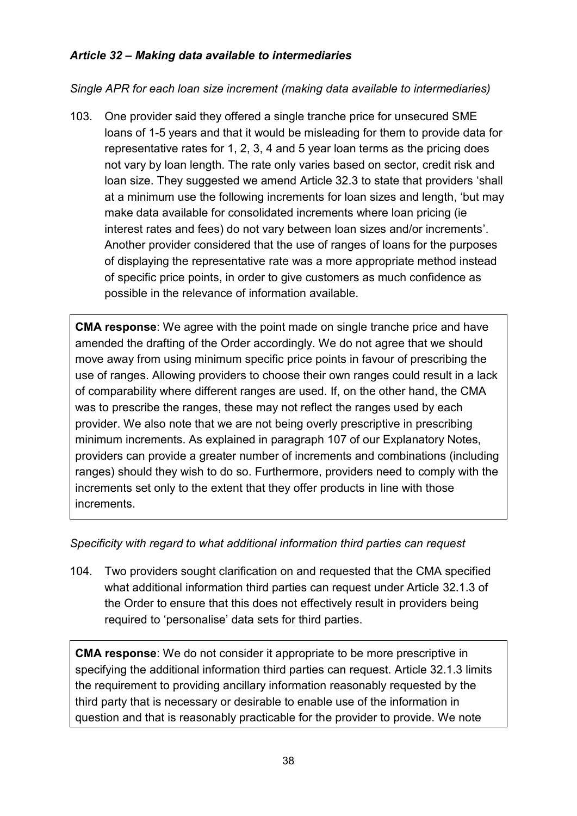### *Article 32 – Making data available to intermediaries*

*Single APR for each loan size increment (making data available to intermediaries)* 

103. One provider said they offered a single tranche price for unsecured SME loans of 1-5 years and that it would be misleading for them to provide data for representative rates for 1, 2, 3, 4 and 5 year loan terms as the pricing does not vary by loan length. The rate only varies based on sector, credit risk and loan size. They suggested we amend Article 32.3 to state that providers 'shall at a minimum use the following increments for loan sizes and length, 'but may make data available for consolidated increments where loan pricing (ie interest rates and fees) do not vary between loan sizes and/or increments'. Another provider considered that the use of ranges of loans for the purposes of displaying the representative rate was a more appropriate method instead of specific price points, in order to give customers as much confidence as possible in the relevance of information available.

**CMA response**: We agree with the point made on single tranche price and have amended the drafting of the Order accordingly. We do not agree that we should move away from using minimum specific price points in favour of prescribing the use of ranges. Allowing providers to choose their own ranges could result in a lack of comparability where different ranges are used. If, on the other hand, the CMA was to prescribe the ranges, these may not reflect the ranges used by each provider. We also note that we are not being overly prescriptive in prescribing minimum increments. As explained in paragraph 107 of our Explanatory Notes, providers can provide a greater number of increments and combinations (including ranges) should they wish to do so. Furthermore, providers need to comply with the increments set only to the extent that they offer products in line with those increments.

#### *Specificity with regard to what additional information third parties can request*

104. Two providers sought clarification on and requested that the CMA specified what additional information third parties can request under Article 32.1.3 of the Order to ensure that this does not effectively result in providers being required to 'personalise' data sets for third parties.

**CMA response**: We do not consider it appropriate to be more prescriptive in specifying the additional information third parties can request. Article 32.1.3 limits the requirement to providing ancillary information reasonably requested by the third party that is necessary or desirable to enable use of the information in question and that is reasonably practicable for the provider to provide. We note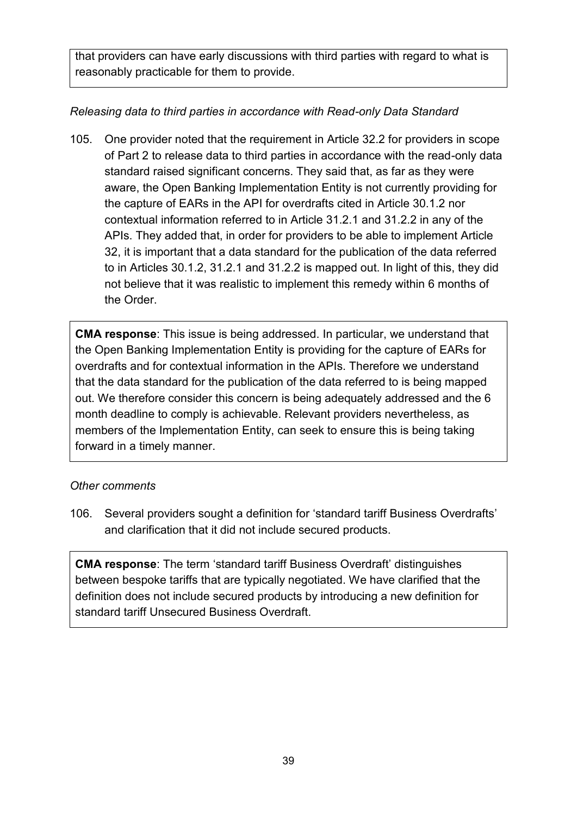that providers can have early discussions with third parties with regard to what is reasonably practicable for them to provide.

## *Releasing data to third parties in accordance with Read-only Data Standard*

105. One provider noted that the requirement in Article 32.2 for providers in scope of Part 2 to release data to third parties in accordance with the read-only data standard raised significant concerns. They said that, as far as they were aware, the Open Banking Implementation Entity is not currently providing for the capture of EARs in the API for overdrafts cited in Article 30.1.2 nor contextual information referred to in Article 31.2.1 and 31.2.2 in any of the APIs. They added that, in order for providers to be able to implement Article 32, it is important that a data standard for the publication of the data referred to in Articles 30.1.2, 31.2.1 and 31.2.2 is mapped out. In light of this, they did not believe that it was realistic to implement this remedy within 6 months of the Order.

**CMA response**: This issue is being addressed. In particular, we understand that the Open Banking Implementation Entity is providing for the capture of EARs for overdrafts and for contextual information in the APIs. Therefore we understand that the data standard for the publication of the data referred to is being mapped out. We therefore consider this concern is being adequately addressed and the 6 month deadline to comply is achievable. Relevant providers nevertheless, as members of the Implementation Entity, can seek to ensure this is being taking forward in a timely manner.

#### *Other comments*

106. Several providers sought a definition for 'standard tariff Business Overdrafts' and clarification that it did not include secured products.

**CMA response**: The term 'standard tariff Business Overdraft' distinguishes between bespoke tariffs that are typically negotiated. We have clarified that the definition does not include secured products by introducing a new definition for standard tariff Unsecured Business Overdraft.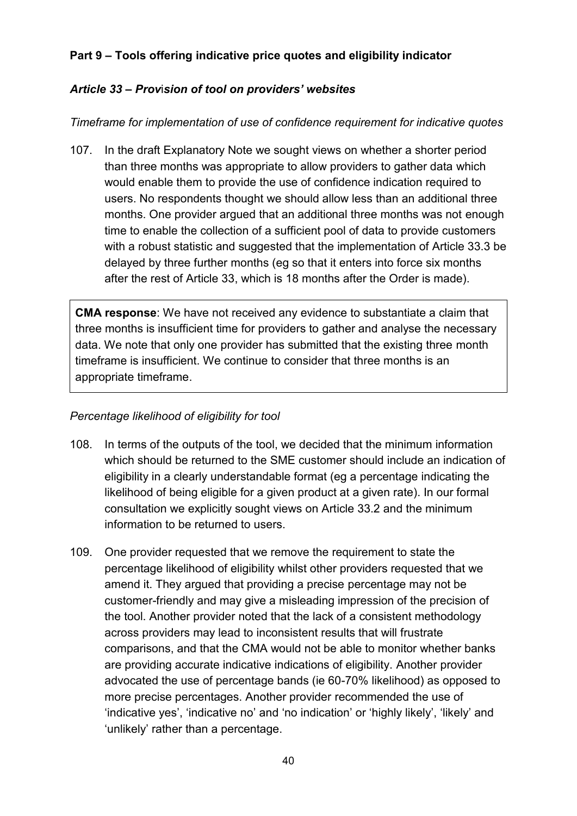### <span id="page-39-0"></span>**Part 9 – Tools offering indicative price quotes and eligibility indicator**

### *Article 33 – Prov*i*sion of tool on providers' websites*

#### *Timeframe for implementation of use of confidence requirement for indicative quotes*

107. In the draft Explanatory Note we sought views on whether a shorter period than three months was appropriate to allow providers to gather data which would enable them to provide the use of confidence indication required to users. No respondents thought we should allow less than an additional three months. One provider argued that an additional three months was not enough time to enable the collection of a sufficient pool of data to provide customers with a robust statistic and suggested that the implementation of Article 33.3 be delayed by three further months (eg so that it enters into force six months after the rest of Article 33, which is 18 months after the Order is made).

**CMA response**: We have not received any evidence to substantiate a claim that three months is insufficient time for providers to gather and analyse the necessary data. We note that only one provider has submitted that the existing three month timeframe is insufficient. We continue to consider that three months is an appropriate timeframe.

#### *Percentage likelihood of eligibility for tool*

- 108. In terms of the outputs of the tool, we decided that the minimum information which should be returned to the SME customer should include an indication of eligibility in a clearly understandable format (eg a percentage indicating the likelihood of being eligible for a given product at a given rate). In our formal consultation we explicitly sought views on Article 33.2 and the minimum information to be returned to users.
- 109. One provider requested that we remove the requirement to state the percentage likelihood of eligibility whilst other providers requested that we amend it. They argued that providing a precise percentage may not be customer-friendly and may give a misleading impression of the precision of the tool. Another provider noted that the lack of a consistent methodology across providers may lead to inconsistent results that will frustrate comparisons, and that the CMA would not be able to monitor whether banks are providing accurate indicative indications of eligibility. Another provider advocated the use of percentage bands (ie 60-70% likelihood) as opposed to more precise percentages. Another provider recommended the use of 'indicative yes', 'indicative no' and 'no indication' or 'highly likely', 'likely' and 'unlikely' rather than a percentage.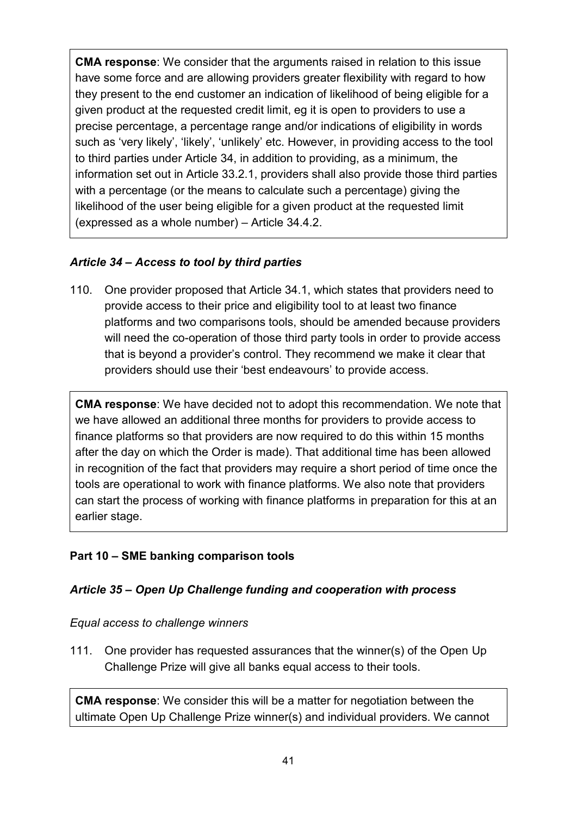**CMA response**: We consider that the arguments raised in relation to this issue have some force and are allowing providers greater flexibility with regard to how they present to the end customer an indication of likelihood of being eligible for a given product at the requested credit limit, eg it is open to providers to use a precise percentage, a percentage range and/or indications of eligibility in words such as 'very likely', 'likely', 'unlikely' etc. However, in providing access to the tool to third parties under Article 34, in addition to providing, as a minimum, the information set out in Article 33.2.1, providers shall also provide those third parties with a percentage (or the means to calculate such a percentage) giving the likelihood of the user being eligible for a given product at the requested limit (expressed as a whole number) – Article 34.4.2.

## *Article 34 – Access to tool by third parties*

110. One provider proposed that Article 34.1, which states that providers need to provide access to their price and eligibility tool to at least two finance platforms and two comparisons tools, should be amended because providers will need the co-operation of those third party tools in order to provide access that is beyond a provider's control. They recommend we make it clear that providers should use their 'best endeavours' to provide access.

**CMA response**: We have decided not to adopt this recommendation. We note that we have allowed an additional three months for providers to provide access to finance platforms so that providers are now required to do this within 15 months after the day on which the Order is made). That additional time has been allowed in recognition of the fact that providers may require a short period of time once the tools are operational to work with finance platforms. We also note that providers can start the process of working with finance platforms in preparation for this at an earlier stage.

#### <span id="page-40-0"></span>**Part 10 – SME banking comparison tools**

#### *Article 35 – Open Up Challenge funding and cooperation with process*

#### *Equal access to challenge winners*

111. One provider has requested assurances that the winner(s) of the Open Up Challenge Prize will give all banks equal access to their tools.

**CMA response**: We consider this will be a matter for negotiation between the ultimate Open Up Challenge Prize winner(s) and individual providers. We cannot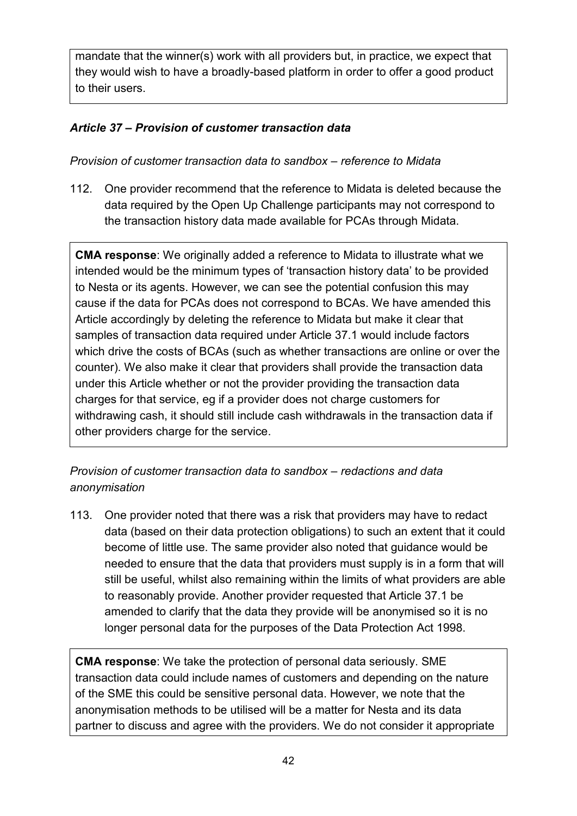mandate that the winner(s) work with all providers but, in practice, we expect that they would wish to have a broadly-based platform in order to offer a good product to their users.

## *Article 37 – Provision of customer transaction data*

### *Provision of customer transaction data to sandbox – reference to Midata*

112. One provider recommend that the reference to Midata is deleted because the data required by the Open Up Challenge participants may not correspond to the transaction history data made available for PCAs through Midata.

**CMA response**: We originally added a reference to Midata to illustrate what we intended would be the minimum types of 'transaction history data' to be provided to Nesta or its agents. However, we can see the potential confusion this may cause if the data for PCAs does not correspond to BCAs. We have amended this Article accordingly by deleting the reference to Midata but make it clear that samples of transaction data required under Article 37.1 would include factors which drive the costs of BCAs (such as whether transactions are online or over the counter). We also make it clear that providers shall provide the transaction data under this Article whether or not the provider providing the transaction data charges for that service, eg if a provider does not charge customers for withdrawing cash, it should still include cash withdrawals in the transaction data if other providers charge for the service.

*Provision of customer transaction data to sandbox – redactions and data anonymisation* 

113. One provider noted that there was a risk that providers may have to redact data (based on their data protection obligations) to such an extent that it could become of little use. The same provider also noted that guidance would be needed to ensure that the data that providers must supply is in a form that will still be useful, whilst also remaining within the limits of what providers are able to reasonably provide. Another provider requested that Article 37.1 be amended to clarify that the data they provide will be anonymised so it is no longer personal data for the purposes of the Data Protection Act 1998.

**CMA response**: We take the protection of personal data seriously. SME transaction data could include names of customers and depending on the nature of the SME this could be sensitive personal data. However, we note that the anonymisation methods to be utilised will be a matter for Nesta and its data partner to discuss and agree with the providers. We do not consider it appropriate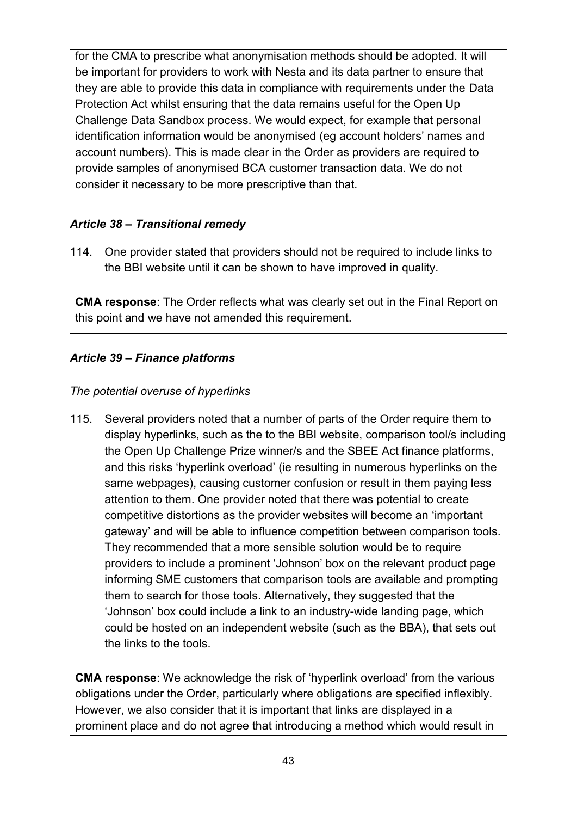for the CMA to prescribe what anonymisation methods should be adopted. It will be important for providers to work with Nesta and its data partner to ensure that they are able to provide this data in compliance with requirements under the Data Protection Act whilst ensuring that the data remains useful for the Open Up Challenge Data Sandbox process. We would expect, for example that personal identification information would be anonymised (eg account holders' names and account numbers). This is made clear in the Order as providers are required to provide samples of anonymised BCA customer transaction data. We do not consider it necessary to be more prescriptive than that.

### *Article 38 – Transitional remedy*

114. One provider stated that providers should not be required to include links to the BBI website until it can be shown to have improved in quality.

**CMA response**: The Order reflects what was clearly set out in the Final Report on this point and we have not amended this requirement.

### *Article 39 – Finance platforms*

#### *The potential overuse of hyperlinks*

115. Several providers noted that a number of parts of the Order require them to display hyperlinks, such as the to the BBI website, comparison tool/s including the Open Up Challenge Prize winner/s and the SBEE Act finance platforms, and this risks 'hyperlink overload' (ie resulting in numerous hyperlinks on the same webpages), causing customer confusion or result in them paying less attention to them. One provider noted that there was potential to create competitive distortions as the provider websites will become an 'important gateway' and will be able to influence competition between comparison tools. They recommended that a more sensible solution would be to require providers to include a prominent 'Johnson' box on the relevant product page informing SME customers that comparison tools are available and prompting them to search for those tools. Alternatively, they suggested that the 'Johnson' box could include a link to an industry-wide landing page, which could be hosted on an independent website (such as the BBA), that sets out the links to the tools.

**CMA response**: We acknowledge the risk of 'hyperlink overload' from the various obligations under the Order, particularly where obligations are specified inflexibly. However, we also consider that it is important that links are displayed in a prominent place and do not agree that introducing a method which would result in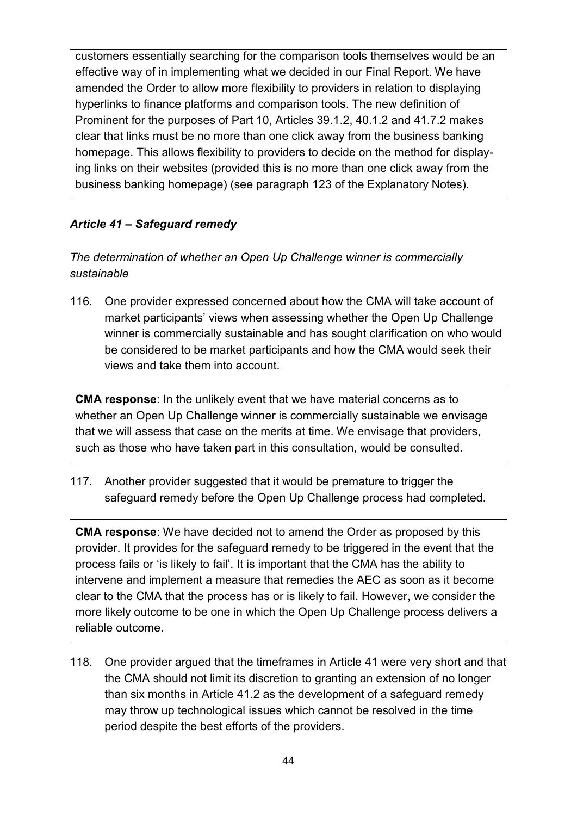customers essentially searching for the comparison tools themselves would be an effective way of in implementing what we decided in our Final Report. We have amended the Order to allow more flexibility to providers in relation to displaying hyperlinks to finance platforms and comparison tools. The new definition of Prominent for the purposes of Part 10, Articles 39.1.2, 40.1.2 and 41.7.2 makes clear that links must be no more than one click away from the business banking homepage. This allows flexibility to providers to decide on the method for displaying links on their websites (provided this is no more than one click away from the business banking homepage) (see paragraph 123 of the Explanatory Notes).

### *Article 41 – Safeguard remedy*

*The determination of whether an Open Up Challenge winner is commercially sustainable* 

116. One provider expressed concerned about how the CMA will take account of market participants' views when assessing whether the Open Up Challenge winner is commercially sustainable and has sought clarification on who would be considered to be market participants and how the CMA would seek their views and take them into account.

**CMA response**: In the unlikely event that we have material concerns as to whether an Open Up Challenge winner is commercially sustainable we envisage that we will assess that case on the merits at time. We envisage that providers, such as those who have taken part in this consultation, would be consulted.

117. Another provider suggested that it would be premature to trigger the safeguard remedy before the Open Up Challenge process had completed.

**CMA response**: We have decided not to amend the Order as proposed by this provider. It provides for the safeguard remedy to be triggered in the event that the process fails or 'is likely to fail'. It is important that the CMA has the ability to intervene and implement a measure that remedies the AEC as soon as it become clear to the CMA that the process has or is likely to fail. However, we consider the more likely outcome to be one in which the Open Up Challenge process delivers a reliable outcome.

118. One provider argued that the timeframes in Article 41 were very short and that the CMA should not limit its discretion to granting an extension of no longer than six months in Article 41.2 as the development of a safeguard remedy may throw up technological issues which cannot be resolved in the time period despite the best efforts of the providers.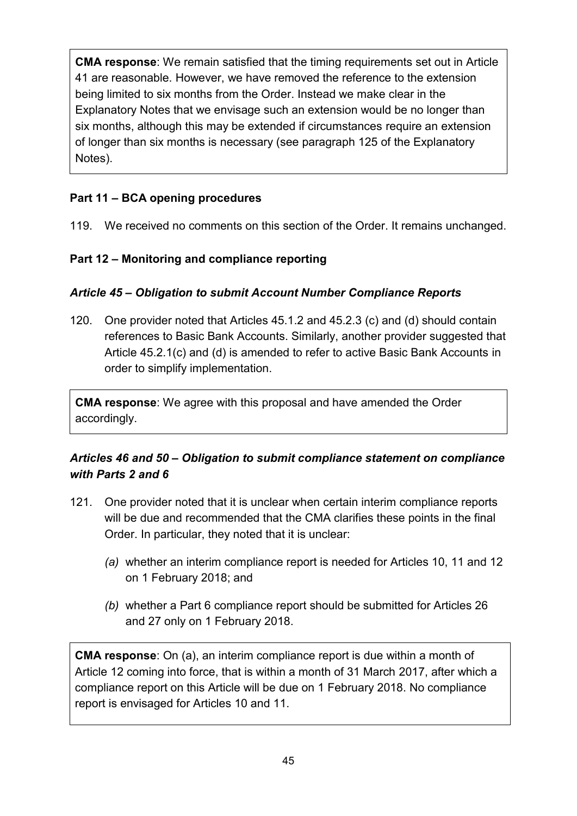**CMA response**: We remain satisfied that the timing requirements set out in Article 41 are reasonable. However, we have removed the reference to the extension being limited to six months from the Order. Instead we make clear in the Explanatory Notes that we envisage such an extension would be no longer than six months, although this may be extended if circumstances require an extension of longer than six months is necessary (see paragraph 125 of the Explanatory Notes).

## <span id="page-44-0"></span>**Part 11 – BCA opening procedures**

119. We received no comments on this section of the Order. It remains unchanged.

## <span id="page-44-1"></span>**Part 12 – Monitoring and compliance reporting**

#### *Article 45 – Obligation to submit Account Number Compliance Reports*

120. One provider noted that Articles 45.1.2 and 45.2.3 (c) and (d) should contain references to Basic Bank Accounts. Similarly, another provider suggested that Article 45.2.1(c) and (d) is amended to refer to active Basic Bank Accounts in order to simplify implementation.

**CMA response**: We agree with this proposal and have amended the Order accordingly.

## *Articles 46 and 50 – Obligation to submit compliance statement on compliance with Parts 2 and 6*

- 121. One provider noted that it is unclear when certain interim compliance reports will be due and recommended that the CMA clarifies these points in the final Order. In particular, they noted that it is unclear:
	- *(a)* whether an interim compliance report is needed for Articles 10, 11 and 12 on 1 February 2018; and
	- *(b)* whether a Part 6 compliance report should be submitted for Articles 26 and 27 only on 1 February 2018.

**CMA response**: On (a), an interim compliance report is due within a month of Article 12 coming into force, that is within a month of 31 March 2017, after which a compliance report on this Article will be due on 1 February 2018. No compliance report is envisaged for Articles 10 and 11.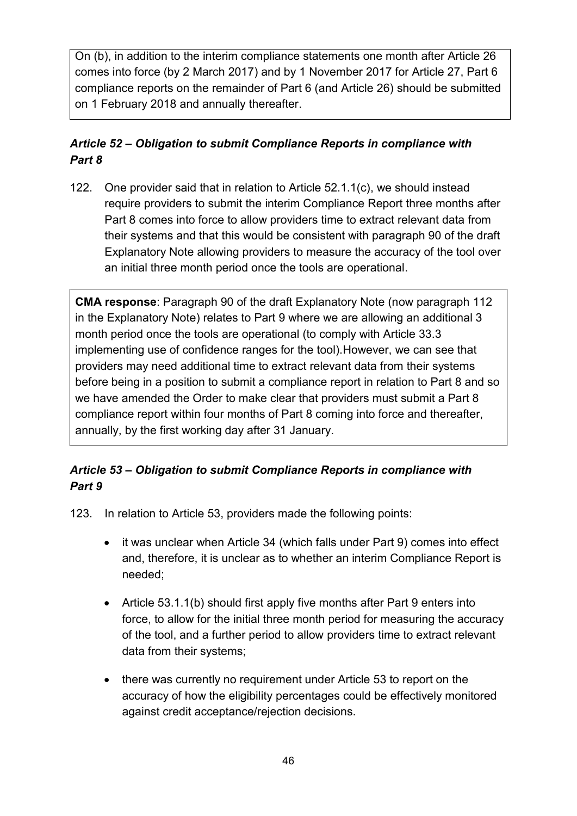On (b), in addition to the interim compliance statements one month after Article 26 comes into force (by 2 March 2017) and by 1 November 2017 for Article 27, Part 6 compliance reports on the remainder of Part 6 (and Article 26) should be submitted on 1 February 2018 and annually thereafter.

## *Article 52 – Obligation to submit Compliance Reports in compliance with Part 8*

122. One provider said that in relation to Article 52.1.1(c), we should instead require providers to submit the interim Compliance Report three months after Part 8 comes into force to allow providers time to extract relevant data from their systems and that this would be consistent with paragraph 90 of the draft Explanatory Note allowing providers to measure the accuracy of the tool over an initial three month period once the tools are operational.

**CMA response**: Paragraph 90 of the draft Explanatory Note (now paragraph 112 in the Explanatory Note) relates to Part 9 where we are allowing an additional 3 month period once the tools are operational (to comply with Article 33.3 implementing use of confidence ranges for the tool).However, we can see that providers may need additional time to extract relevant data from their systems before being in a position to submit a compliance report in relation to Part 8 and so we have amended the Order to make clear that providers must submit a Part 8 compliance report within four months of Part 8 coming into force and thereafter, annually, by the first working day after 31 January.

## *Article 53 – Obligation to submit Compliance Reports in compliance with Part 9*

123. In relation to Article 53, providers made the following points:

- it was unclear when Article 34 (which falls under Part 9) comes into effect and, therefore, it is unclear as to whether an interim Compliance Report is needed;
- Article 53.1.1(b) should first apply five months after Part 9 enters into force, to allow for the initial three month period for measuring the accuracy of the tool, and a further period to allow providers time to extract relevant data from their systems;
- there was currently no requirement under Article 53 to report on the accuracy of how the eligibility percentages could be effectively monitored against credit acceptance/rejection decisions.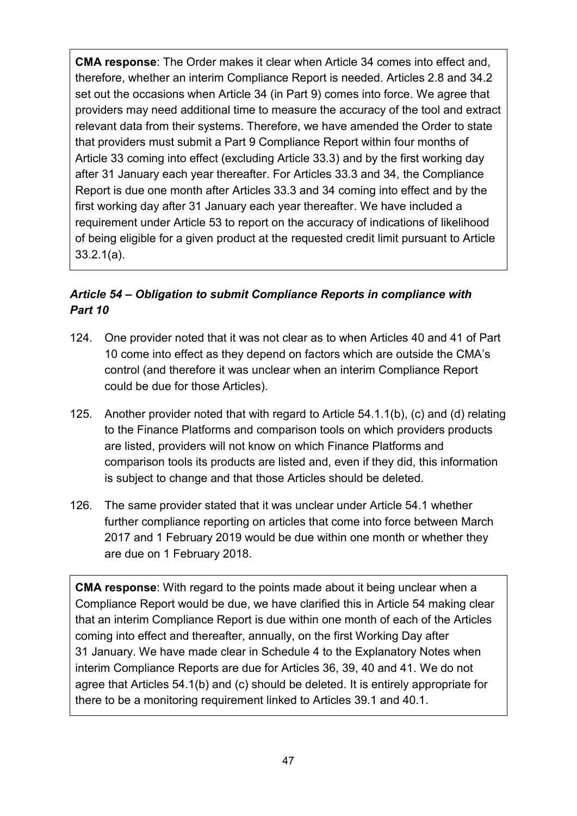**CMA response**: The Order makes it clear when Article 34 comes into effect and, therefore, whether an interim Compliance Report is needed. Articles 2.8 and 34.2 set out the occasions when Article 34 (in Part 9) comes into force. We agree that providers may need additional time to measure the accuracy of the tool and extract relevant data from their systems. Therefore, we have amended the Order to state that providers must submit a Part 9 Compliance Report within four months of Article 33 coming into effect (excluding Article 33.3) and by the first working day after 31 January each year thereafter. For Articles 33.3 and 34, the Compliance Report is due one month after Articles 33.3 and 34 coming into effect and by the first working day after 31 January each year thereafter. We have included a requirement under Article 53 to report on the accuracy of indications of likelihood of being eligible for a given product at the requested credit limit pursuant to Article 33.2.1(a).

## *Article 54 – Obligation to submit Compliance Reports in compliance with Part 10*

- 124. One provider noted that it was not clear as to when Articles 40 and 41 of Part 10 come into effect as they depend on factors which are outside the CMA's control (and therefore it was unclear when an interim Compliance Report could be due for those Articles).
- 125. Another provider noted that with regard to Article 54.1.1(b), (c) and (d) relating to the Finance Platforms and comparison tools on which providers products are listed, providers will not know on which Finance Platforms and comparison tools its products are listed and, even if they did, this information is subject to change and that those Articles should be deleted.
- 126. The same provider stated that it was unclear under Article 54.1 whether further compliance reporting on articles that come into force between March 2017 and 1 February 2019 would be due within one month or whether they are due on 1 February 2018.

**CMA response**: With regard to the points made about it being unclear when a Compliance Report would be due, we have clarified this in Article 54 making clear that an interim Compliance Report is due within one month of each of the Articles coming into effect and thereafter, annually, on the first Working Day after 31 January. We have made clear in Schedule 4 to the Explanatory Notes when interim Compliance Reports are due for Articles 36, 39, 40 and 41. We do not agree that Articles 54.1(b) and (c) should be deleted. It is entirely appropriate for there to be a monitoring requirement linked to Articles 39.1 and 40.1.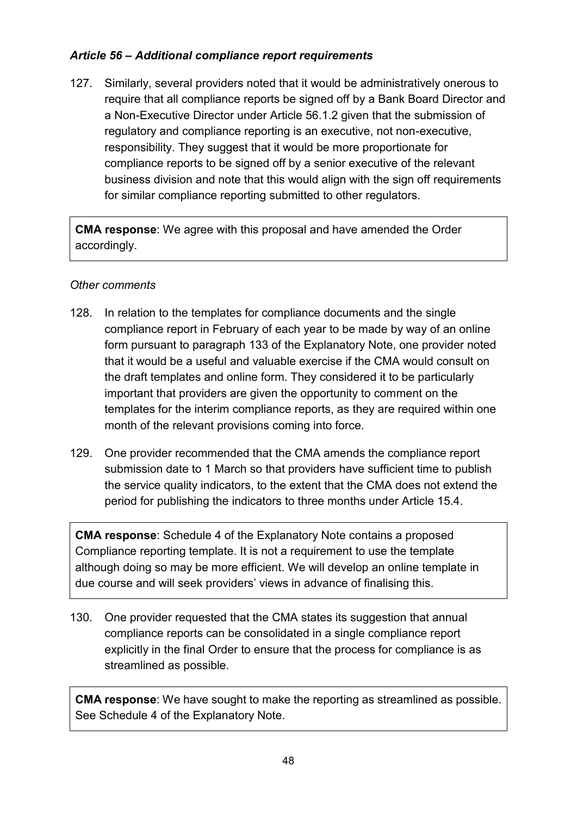### *Article 56 – Additional compliance report requirements*

127. Similarly, several providers noted that it would be administratively onerous to require that all compliance reports be signed off by a Bank Board Director and a Non-Executive Director under Article 56.1.2 given that the submission of regulatory and compliance reporting is an executive, not non-executive, responsibility. They suggest that it would be more proportionate for compliance reports to be signed off by a senior executive of the relevant business division and note that this would align with the sign off requirements for similar compliance reporting submitted to other regulators.

**CMA response**: We agree with this proposal and have amended the Order accordingly.

#### *Other comments*

- 128. In relation to the templates for compliance documents and the single compliance report in February of each year to be made by way of an online form pursuant to paragraph 133 of the Explanatory Note, one provider noted that it would be a useful and valuable exercise if the CMA would consult on the draft templates and online form. They considered it to be particularly important that providers are given the opportunity to comment on the templates for the interim compliance reports, as they are required within one month of the relevant provisions coming into force.
- 129. One provider recommended that the CMA amends the compliance report submission date to 1 March so that providers have sufficient time to publish the service quality indicators, to the extent that the CMA does not extend the period for publishing the indicators to three months under Article 15.4.

**CMA response**: Schedule 4 of the Explanatory Note contains a proposed Compliance reporting template. It is not a requirement to use the template although doing so may be more efficient. We will develop an online template in due course and will seek providers' views in advance of finalising this.

130. One provider requested that the CMA states its suggestion that annual compliance reports can be consolidated in a single compliance report explicitly in the final Order to ensure that the process for compliance is as streamlined as possible.

**CMA response**: We have sought to make the reporting as streamlined as possible. See Schedule 4 of the Explanatory Note.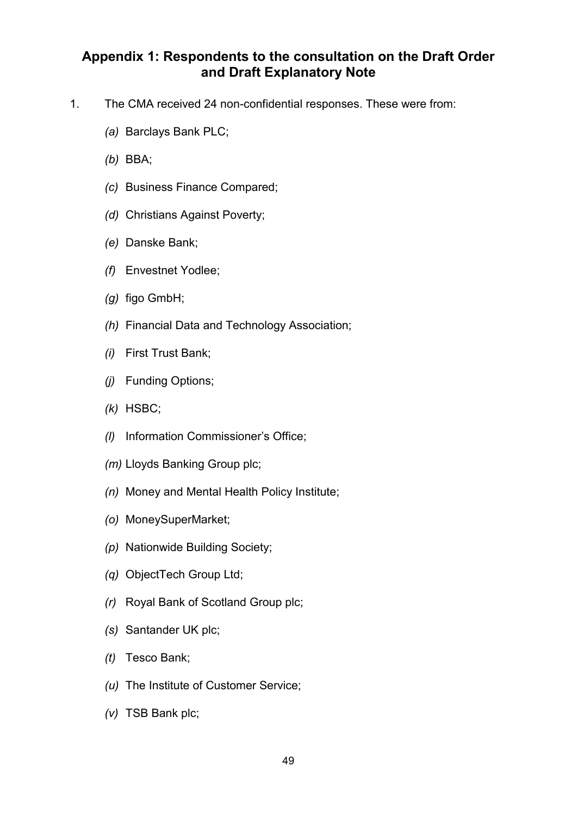## <span id="page-48-0"></span>**Appendix 1: Respondents to the consultation on the Draft Order and Draft Explanatory Note**

- 1. The CMA received 24 non-confidential responses. These were from:
	- *(a)* Barclays Bank PLC;
	- *(b)* BBA;
	- *(c)* Business Finance Compared;
	- *(d)* Christians Against Poverty;
	- *(e)* Danske Bank;
	- *(f)* Envestnet Yodlee;
	- *(g)* figo GmbH;
	- *(h)* Financial Data and Technology Association;
	- *(i)* First Trust Bank;
	- *(j)* Funding Options;
	- *(k)* HSBC;
	- *(l)* Information Commissioner's Office;
	- *(m)* Lloyds Banking Group plc;
	- *(n)* Money and Mental Health Policy Institute;
	- *(o)* MoneySuperMarket;
	- *(p)* Nationwide Building Society;
	- *(q)* ObjectTech Group Ltd;
	- *(r)* Royal Bank of Scotland Group plc;
	- *(s)* Santander UK plc;
	- *(t)* Tesco Bank;
	- *(u)* The Institute of Customer Service;
	- *(v)* TSB Bank plc;